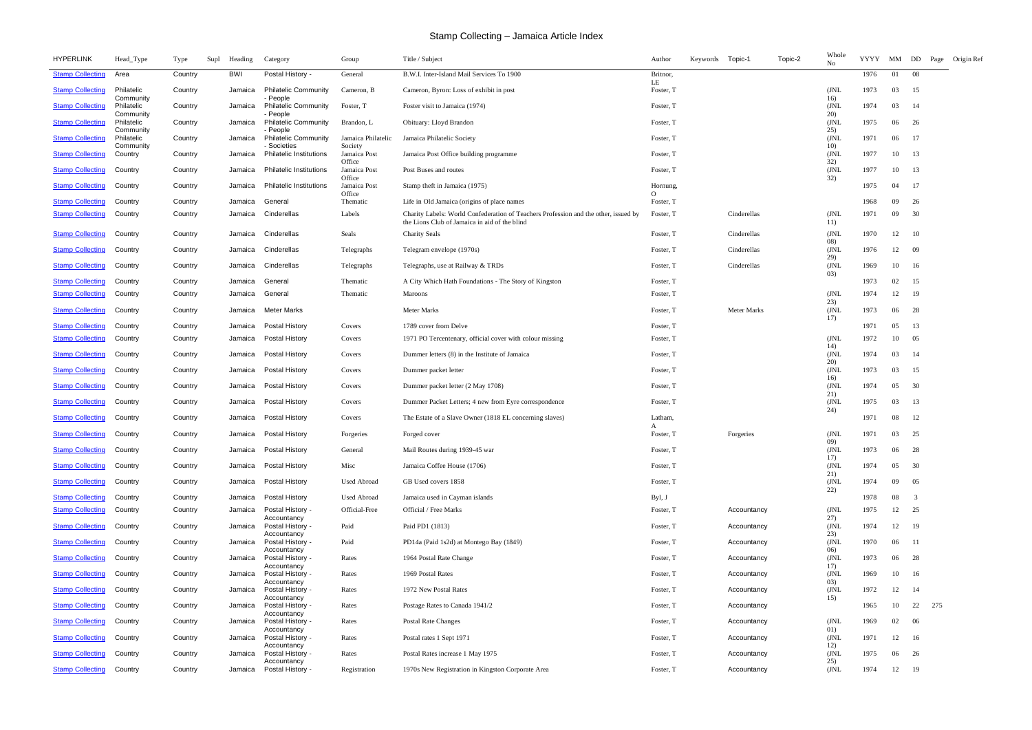| <b>HYPERLINK</b>        | Head_Type               | Type    | Supl | Heading    | Category                                      | Group                             | Title / Subject                                                                                                                      | Author               | Keywords Topic-1 |                    | Topic-2 | Whole<br>No         | <b>YYYY</b> |    |                         | MM DD Page Origin Ref |
|-------------------------|-------------------------|---------|------|------------|-----------------------------------------------|-----------------------------------|--------------------------------------------------------------------------------------------------------------------------------------|----------------------|------------------|--------------------|---------|---------------------|-------------|----|-------------------------|-----------------------|
| <b>Stamp Collecting</b> | Area                    | Country |      | <b>BWI</b> | Postal History -                              | General                           | B.W.I. Inter-Island Mail Services To 1900                                                                                            | Britnor,<br>LE       |                  |                    |         |                     | 1976        | 01 | - 08                    |                       |
| <b>Stamp Collecting</b> | Philatelic<br>Community | Country |      | Jamaica    | <b>Philatelic Community</b><br>- People       | Cameron, B                        | Cameron, Byron: Loss of exhibit in post                                                                                              | Foster, T            |                  |                    |         | (JNL<br>16)         | 1973        | 03 | 15                      |                       |
| <b>Stamp Collecting</b> | Philatelic<br>Community | Country |      | Jamaica    | <b>Philatelic Community</b><br>- People       | Foster, T                         | Foster visit to Jamaica (1974)                                                                                                       | Foster, T            |                  |                    |         | ( JNL<br>20)        | 1974        | 03 | -14                     |                       |
| <b>Stamp Collecting</b> | Philatelic<br>Community | Country |      | Jamaica    | <b>Philatelic Community</b><br>- People       | Brandon, L                        | <b>Obituary: Lloyd Brandon</b>                                                                                                       | Foster, T            |                  |                    |         | ( JNL<br>25)        | 1975        | 06 | 26                      |                       |
| <b>Stamp Collecting</b> | Philatelic              | Country |      | Jamaica    | <b>Philatelic Community</b>                   | Jamaica Philatelic                | Jamaica Philatelic Society                                                                                                           | Foster, T            |                  |                    |         | (JNL)               | 1971        | 06 | 17                      |                       |
| <b>Stamp Collecting</b> | Community<br>Country    | Country |      | Jamaica    | - Societies<br><b>Philatelic Institutions</b> | Society<br>Jamaica Post<br>Office | Jamaica Post Office building programme                                                                                               | Foster, T            |                  |                    |         | 10)<br>( JNI<br>32) | 1977        | 10 | 13                      |                       |
| <b>Stamp Collecting</b> | Country                 | Country |      | Jamaica    | <b>Philatelic Institutions</b>                | Jamaica Post<br>Office            | Post Buses and routes                                                                                                                | Foster, T            |                  |                    |         | (JNL)<br>32)        | 1977        | 10 | 13                      |                       |
| <b>Stamp Collecting</b> | Country                 | Country |      | Jamaica    | <b>Philatelic Institutions</b>                | Jamaica Post<br>Office            | Stamp theft in Jamaica (1975)                                                                                                        | Hornung,<br>$\Omega$ |                  |                    |         |                     | 1975        | 04 | 17                      |                       |
| <b>Stamp Collecting</b> | Country                 | Country |      | Jamaica    | General                                       | Thematic                          | Life in Old Jamaica (origins of place names                                                                                          | Foster, T            |                  |                    |         |                     | 1968        | 09 | 26                      |                       |
| <b>Stamp Collecting</b> | Country                 | Country |      | Jamaica    | Cinderellas                                   | Labels                            | Charity Labels: World Confederation of Teachers Profession and the other, issued by<br>the Lions Club of Jamaica in aid of the blind | Foster, T            |                  | Cinderellas        |         | (JNL<br>11)         | 1971        | 09 | 30                      |                       |
| <b>Stamp Collecting</b> | Country                 | Country |      | Jamaica    | Cinderellas                                   | Seals                             | <b>Charity Seals</b>                                                                                                                 | Foster, T            |                  | Cinderellas        |         | (JNL<br>08)         | 1970        | 12 | 10                      |                       |
| <b>Stamp Collecting</b> | Country                 | Country |      | Jamaica    | Cinderellas                                   | Telegraphs                        | Telegram envelope (1970s)                                                                                                            | Foster, T            |                  | Cinderellas        |         | (JNL<br>29)         | 1976        | 12 | 09                      |                       |
| <b>Stamp Collecting</b> | Country                 | Country |      | Jamaica    | Cinderellas                                   | Telegraphs                        | Telegraphs, use at Railway & TRDs                                                                                                    | Foster, T            |                  | Cinderellas        |         | (JNL<br>(03)        | 1969        | 10 | 16                      |                       |
| <b>Stamp Collecting</b> | Country                 | Country |      | Jamaica    | General                                       | Thematic                          | A City Which Hath Foundations - The Story of Kingston                                                                                | Foster, T            |                  |                    |         |                     | 1973        | 02 | 15                      |                       |
| <b>Stamp Collecting</b> | Country                 | Country |      | Jamaica    | General                                       | Thematic                          | <b>Maroons</b>                                                                                                                       | Foster, T            |                  |                    |         | ( JNI<br>23)        | 1974        | 12 | -19                     |                       |
| <b>Stamp Collecting</b> | Country                 | Country |      | Jamaica    | Meter Marks                                   |                                   | <b>Meter Marks</b>                                                                                                                   | Foster, T            |                  | <b>Meter Marks</b> |         | (JNL<br>17)         | 1973        | 06 | 28                      |                       |
| <b>Stamp Collecting</b> | Country                 | Country |      | Jamaica    | Postal History                                | Covers                            | 1789 cover from Delve                                                                                                                | Foster, T            |                  |                    |         |                     | 1971        | 05 | 13                      |                       |
| <b>Stamp Collecting</b> | Country                 | Country |      | Jamaica    | <b>Postal History</b>                         | Covers                            | 1971 PO Tercentenary, official cover with colour missing                                                                             | Foster, T            |                  |                    |         | (JNL<br>14)         | 1972        | 10 | 05                      |                       |
| <b>Stamp Collecting</b> | Country                 | Country |      | Jamaica    | Postal History                                | Covers                            | Dummer letters (8) in the Institute of Jamaica                                                                                       | Foster, T            |                  |                    |         | JNL<br>20)          | 1974        | 03 | -14                     |                       |
| <b>Stamp Collecting</b> | Country                 | Country |      | Jamaica    | Postal History                                | Covers                            | Dummer packet letter                                                                                                                 | Foster, T            |                  |                    |         | (JNL<br>16)         | 1973        | 03 | 15                      |                       |
| <b>Stamp Collecting</b> | Country                 | Country |      | Jamaica    | Postal History                                | Covers                            | Dummer packet letter (2 May 1708)                                                                                                    | Foster, T            |                  |                    |         | (JNL<br>21)         | 1974        | 05 | 30                      |                       |
| <b>Stamp Collecting</b> | Country                 | Country |      | Jamaica    | <b>Postal History</b>                         | Covers                            | Dummer Packet Letters; 4 new from Eyre correspondence                                                                                | Foster, T            |                  |                    |         | (JNL)<br>24)        | 1975        | 03 | 13                      |                       |
| <b>Stamp Collecting</b> | Country                 | Country |      | Jamaica    | <b>Postal History</b>                         | Covers                            | The Estate of a Slave Owner (1818 EL concerning slaves)                                                                              | Latham,<br>A         |                  |                    |         |                     | 1971        | 08 | 12                      |                       |
| <b>Stamp Collecting</b> | Country                 | Country |      | Jamaica    | <b>Postal History</b>                         | Forgeries                         | Forged cover                                                                                                                         | Foster, T            |                  | Forgeries          |         | ( JNL<br>09)        | 1971        | 03 | 25                      |                       |
| <b>Stamp Collecting</b> | Country                 | Country |      | Jamaica    | Postal History                                | General                           | Mail Routes during 1939-45 war                                                                                                       | Foster, T            |                  |                    |         | (JNL<br>17)         | 1973        | 06 | 28                      |                       |
| <b>Stamp Collecting</b> | Country                 | Country |      | Jamaica    | <b>Postal History</b>                         | Misc                              | Jamaica Coffee House (1706)                                                                                                          | Foster, T            |                  |                    |         | (JNL)<br>21)        | 1974        | 05 | 30                      |                       |
| <b>Stamp Collecting</b> | Country                 | Country |      | Jamaica    | <b>Postal History</b>                         | <b>Used Abroad</b>                | GB Used covers 1858                                                                                                                  | Foster, T            |                  |                    |         | (JNL<br>22)         | 1974        | 09 | 05                      |                       |
| <b>Stamp Collecting</b> | Country                 | Country |      | Jamaica    | <b>Postal History</b>                         | <b>Used Abroad</b>                | Jamaica used in Cayman islands                                                                                                       | Byl, J               |                  |                    |         |                     | 1978        | 08 | $\overline{\mathbf{3}}$ |                       |
| <b>Stamp Collecting</b> | Country                 | Country |      | Jamaica    | Postal History -<br>Accountancy               | Official-Free                     | Official / Free Marks                                                                                                                | Foster, T            |                  | Accountancy        |         | (JNL)<br>27)        | 1975        | 12 | 25                      |                       |
| <b>Stamp Collecting</b> | Country                 | Country |      | Jamaica    | Postal History -<br>Accountancy               | Paid                              | Paid PD1 (1813)                                                                                                                      | Foster, T            |                  | Accountancy        |         | (JNL<br>23)         | 1974        | 12 | 19                      |                       |
| <b>Stamp Collecting</b> | Country                 | Country |      | Jamaica    | Postal History -<br>Accountancy               | Paid                              | PD14a (Paid 1s2d) at Montego Bay (1849)                                                                                              | Foster, T            |                  | Accountancy        |         | (JNL<br>06)         | 1970        | 06 | - 11                    |                       |
| <b>Stamp Collecting</b> | Country                 | Country |      | Jamaica    | Postal History -<br>Accountancy               | Rates                             | 1964 Postal Rate Change                                                                                                              | Foster, T            |                  | Accountancy        |         | (JNL<br>17)         | 1973        | 06 | 28                      |                       |
| <b>Stamp Collecting</b> | Country                 | Country |      | Jamaica    | Postal History -<br>Accountancy               | Rates                             | 1969 Postal Rates                                                                                                                    | Foster, T            |                  | Accountancy        |         | (JNL<br>03)         | 1969        | 10 | 16                      |                       |
| <b>Stamp Collecting</b> | Country                 | Country |      | Jamaica    | Postal History -<br>Accountancy               | Rates                             | 1972 New Postal Rates                                                                                                                | Foster, T            |                  | Accountancy        |         | (JNL<br>15)         | 1972        | 12 | -14                     |                       |
| <b>Stamp Collecting</b> | Country                 | Country |      | Jamaica    | Postal History -<br>Accountancy               | Rates                             | Postage Rates to Canada 1941/2                                                                                                       | Foster, T            |                  | Accountancy        |         |                     | 1965        | 10 | 22 275                  |                       |
| <b>Stamp Collecting</b> | Country                 | Country |      | Jamaica    | Postal History -<br>Accountancy               | Rates                             | <b>Postal Rate Changes</b>                                                                                                           | Foster, T            |                  | Accountancy        |         | (JNL)<br>01)        | 1969        | 02 | - 06                    |                       |
| <b>Stamp Collecting</b> | Country                 | Country |      | Jamaica    | Postal History -<br>Accountancy               | Rates                             | Postal rates 1 Sept 1971                                                                                                             | Foster, T            |                  | Accountancy        |         | (JNL<br>12)         | 1971        | 12 | 16                      |                       |
| <b>Stamp Collecting</b> | Country                 | Country |      | Jamaica    | Postal History -<br>Accountancy               | Rates                             | Postal Rates increase 1 May 1975                                                                                                     | Foster, T            |                  | Accountancy        |         | (JNL<br>25)         | 1975        | 06 | 26                      |                       |
| <b>Stamp Collecting</b> | Country                 | Country |      | Jamaica    | Postal History -                              | Registration                      | 1970s New Registration in Kingston Corporate Area                                                                                    | Foster, T            |                  | Accountancy        |         | (JNL                | 1974        | 12 | -19                     |                       |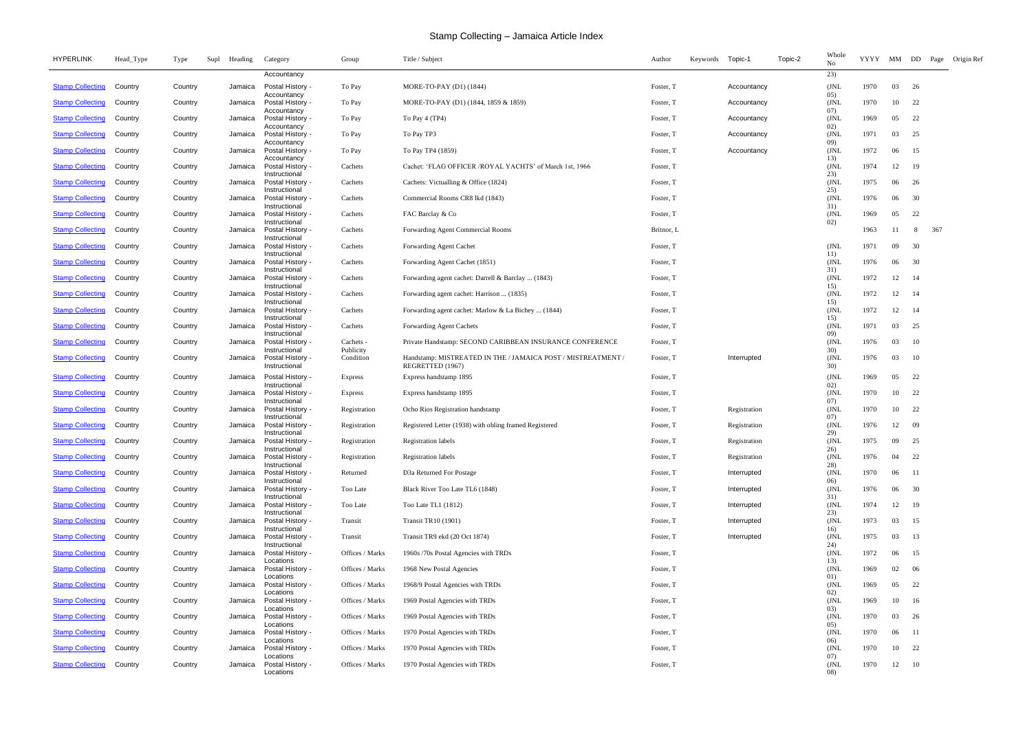| <b>HYPERLINK</b>        | Head_Type | Type<br>Supl | Heading | Category                                  | Group                  | Title / Subject                                                                  | Author     | Keywords | Topic-1      | Topic-2 | Whole<br>No   | YYYY |     |     |     | MM DD Page Origin Ref |
|-------------------------|-----------|--------------|---------|-------------------------------------------|------------------------|----------------------------------------------------------------------------------|------------|----------|--------------|---------|---------------|------|-----|-----|-----|-----------------------|
|                         |           |              |         | Accountancy                               |                        |                                                                                  |            |          |              |         | 23)           |      |     |     |     |                       |
| <b>Stamp Collecting</b> | Country   | Country      | Jamaica | Postal History -<br>Accountancy           | To Pay                 | MORE-TO-PAY (D1) (1844)                                                          | Foster, T  |          | Accountancy  |         | (JNL<br>05)   | 1970 | 03  | 26  |     |                       |
| <b>Stamp Collecting</b> | Country   | Country      | Jamaica | Postal History -<br>Accountancy           | To Pay                 | MORE-TO-PAY (D1) (1844, 1859 & 1859)                                             | Foster, T  |          | Accountancy  |         | JNL<br>07)    | 1970 | 10  | 22  |     |                       |
| <b>Stamp Collecting</b> | Country   | Country      | Jamaica | Postal History<br>Accountancy             | To Pay                 | To Pay 4 (TP4)                                                                   | Foster, T  |          | Accountancy  |         | JNL<br>02)    | 1969 | 05  | 22  |     |                       |
| <b>Stamp Collecting</b> | Country   | Country      | Jamaica | Postal History<br>Accountancy             | To Pay                 | To Pay TP3                                                                       | Foster, T  |          | Accountancy  |         | (JNL)<br>09)  | 1971 | 03  | 25  |     |                       |
| <b>Stamp Collecting</b> | Country   | Country      |         | Jamaica Postal History<br>Accountancy     | To Pay                 | To Pay TP4 (1859)                                                                | Foster, T  |          | Accountancy  |         | (JNL<br>13)   | 1972 | 06  | 15  |     |                       |
| <b>Stamp Collecting</b> | Country   | Country      | Jamaica | Postal History<br>Instructional           | Cachets                | Cachet: 'FLAG OFFICER /ROYAL YACHTS' of March 1st, 1966                          | Foster, T  |          |              |         | (JNI)<br>23)  | 1974 | 12  | 19  |     |                       |
| <b>Stamp Collecting</b> | Country   | Country      | Jamaica | Postal History ·<br>Instructional         | Cachets                | Cachets: Victualling & Office (1824)                                             | Foster, T  |          |              |         | JNL<br>25)    | 1975 | 06  | 26  |     |                       |
| <b>Stamp Collecting</b> | Country   | Country      | Jamaica | Postal History<br>Instructional           | Cachets                | Commercial Rooms CR8 lkd (1843)                                                  | Foster, T  |          |              |         | (JNL)<br>31)  | 1976 | 06  | 30  |     |                       |
| <b>Stamp Collecting</b> | Country   | Country      |         | Jamaica Postal History -<br>Instructional | Cachets                | FAC Barclay & Co                                                                 | Foster, T  |          |              |         | (JNL<br>02)   | 1969 | 05  | 22  |     |                       |
| <b>Stamp Collecting</b> | Country   | Country      | Jamaica | Postal History<br>Instructional           | Cachets                | Forwarding Agent Commercial Rooms                                                | Britnor, L |          |              |         |               | 1963 | -11 |     | 367 |                       |
| <b>Stamp Collecting</b> | Country   | Country      | Jamaica | Postal History -<br>Instructional         | Cachets                | Forwarding Agent Cachet                                                          | Foster, T  |          |              |         | (JNL<br>11)   | 1971 | 09  | 30  |     |                       |
| <b>Stamp Collecting</b> | Country   | Country      | Jamaica | Postal History<br>Instructional           | Cachets                | Forwarding Agent Cachet (1851)                                                   | Foster, T  |          |              |         | (JNL<br>31)   | 1976 | 06  | 30  |     |                       |
| <b>Stamp Collecting</b> | Country   | Country      | Jamaica | Postal History<br>Instructional           | Cachets                | Forwarding agent cachet: Darrell & Barclay  (1843)                               | Foster, T  |          |              |         | (JNL)<br>15)  | 1972 | 12  | -14 |     |                       |
| <b>Stamp Collecting</b> | Country   | Country      | Jamaica | Postal History<br>Instructional           | Cachets                | Forwarding agent cachet: Harrison  (1835)                                        | Foster, T  |          |              |         | (JNL<br>15)   | 1972 | 12  | 14  |     |                       |
| <b>Stamp Collecting</b> | Country   | Country      | Jamaica | Postal History -<br>Instructional         | Cachets                | Forwarding agent cachet: Marlow & La Bichey  (1844)                              | Foster, T  |          |              |         | (JNL)<br>15)  | 1972 | 12  | 14  |     |                       |
| <b>Stamp Collecting</b> | Country   | Country      | Jamaica | Postal History<br>Instructional           | Cachets                | <b>Forwarding Agent Cachets</b>                                                  | Foster, T  |          |              |         | ( JNL<br>09)  | 1971 | 03  | 25  |     |                       |
| <b>Stamp Collecting</b> | Country   | Country      | Jamaica | Postal History -<br>Instructional         | Cachets -<br>Publicity | Private Handstamp: SECOND CARIBBEAN INSURANCE CONFERENCE                         | Foster, T  |          |              |         | (JNL<br>30)   | 1976 | 03  | 10  |     |                       |
| <b>Stamp Collecting</b> | Country   | Country      |         | Jamaica Postal History<br>Instructional   | Condition              | Handstamp: MISTREATED IN THE / JAMAICA POST / MISTREATMENT /<br>REGRETTED (1967) | Foster, T  |          | Interrupted  |         | JNL<br>30)    | 1976 | 03  | 10  |     |                       |
| <b>Stamp Collecting</b> | Country   | Country      | Jamaica | Postal History -<br>Instructional         | <b>Express</b>         | Express handstamp 1895                                                           | Foster, T  |          |              |         | (JNL)<br>02)  | 1969 | 05  | 22  |     |                       |
| <b>Stamp Collecting</b> | Country   | Country      | Jamaica | Postal History -<br>Instructional         | <b>Express</b>         | Express handstamp 1895                                                           | Foster, T  |          |              |         | (JNL)<br>(07) | 1970 | 10  | 22  |     |                       |
| <b>Stamp Collecting</b> | Country   | Country      |         | Jamaica Postal History<br>Instructional   | Registration           | Ocho Rios Registration handstamp                                                 | Foster, T  |          | Registration |         | (JNL)<br>07)  | 1970 | 10  | 22  |     |                       |
| <b>Stamp Collecting</b> | Country   | Country      | Jamaica | Postal History<br>Instructional           | Registration           | Registered Letter (1938) with obling framed Registered                           | Foster, T  |          | Registration |         | (JNL<br>29)   | 1976 | 12  | -09 |     |                       |
| <b>Stamp Collecting</b> | Country   | Country      |         | Jamaica Postal History -<br>Instructional | Registration           | Registration labels                                                              | Foster, T  |          | Registration |         | (JNL<br>26)   | 1975 | 09  | 25  |     |                       |
| <b>Stamp Collecting</b> | Country   | Country      | Jamaica | Postal History -<br>Instructional         | Registration           | <b>Registration labels</b>                                                       | Foster, T  |          | Registration |         | (JNL<br>28)   | 1976 | 04  | 22  |     |                       |
| <b>Stamp Collecting</b> | Country   | Country      | Jamaica | Postal History -<br>Instructional         | Returned               | D3a Returned For Postage                                                         | Foster, T  |          | Interrupted  |         | (JNL<br>06)   | 1970 | 06  | -11 |     |                       |
| <b>Stamp Collecting</b> | Country   | Country      | Jamaica | Postal History -<br>Instructional         | Too Late               | Black River Too Late TL6 (1848)                                                  | Foster, T  |          | Interrupted  |         | (JNL<br>31)   | 1976 | 06  | 30  |     |                       |
| <b>Stamp Collecting</b> | Country   | Country      | Jamaica | Postal History -<br>Instructional         | Too Late               | Too Late TL1 (1812)                                                              | Foster, T  |          | Interrupted  |         | (JNL<br>23)   | 1974 | 12  | 19  |     |                       |
| <b>Stamp Collecting</b> | Country   | Country      |         | Jamaica Postal History -<br>Instructional | Transit                | <b>Transit TR10 (1901)</b>                                                       | Foster, T  |          | Interrupted  |         | (JNL<br>16)   | 1973 | 03  | 15  |     |                       |
| <b>Stamp Collecting</b> | Country   | Country      |         | Jamaica Postal History -<br>Instructional | Transit                | Transit TR9 ekd (20 Oct 1874)                                                    | Foster, T  |          | Interrupted  |         | (JNL<br>24)   | 1975 | 03  | 13  |     |                       |
| <b>Stamp Collecting</b> | Country   | Country      | Jamaica | Postal History -<br>Locations             | Offices / Marks        | 1960s /70s Postal Agencies with TRDs                                             | Foster, T  |          |              |         | (JNL<br>13)   | 1972 | 06  | 15  |     |                       |
| <b>Stamp Collecting</b> | Country   | Country      | Jamaica | Postal History -<br>Locations             | Offices / Marks        | 1968 New Postal Agencies                                                         | Foster, T  |          |              |         | (JNL<br>01)   | 1969 | 02  | 06  |     |                       |
| <b>Stamp Collecting</b> | Country   | Country      | Jamaica | Postal History -<br>Locations             | Offices / Marks        | 1968/9 Postal Agencies with TRDs                                                 | Foster, T  |          |              |         | (JNL<br>02)   | 1969 | 05  | 22  |     |                       |
| <b>Stamp Collecting</b> | Country   | Country      | Jamaica | Postal History -<br>Locations             | Offices / Marks        | 1969 Postal Agencies with TRDs                                                   | Foster, T  |          |              |         | (JNL)<br>03)  | 1969 | 10  | 16  |     |                       |
| <b>Stamp Collecting</b> | Country   | Country      | Jamaica | Postal History -<br>Locations             | Offices / Marks        | 1969 Postal Agencies with TRDs                                                   | Foster, T  |          |              |         | (JNL)<br>05)  | 1970 | 03  | 26  |     |                       |
| <b>Stamp Collecting</b> | Country   | Country      | Jamaica | Postal History -<br>Locations             | Offices / Marks        | 1970 Postal Agencies with TRDs                                                   | Foster, T  |          |              |         | (JNL)<br>06)  | 1970 | 06  | -11 |     |                       |
| <b>Stamp Collecting</b> | Country   | Country      | Jamaica | Postal History -<br>Locations             | Offices / Marks        | 1970 Postal Agencies with TRDs                                                   | Foster, T  |          |              |         | (JNL<br>07)   | 1970 | 10  | 22  |     |                       |
| <b>Stamp Collecting</b> | Country   | Country      | Jamaica | Postal History -<br>Locations             | Offices / Marks        | 1970 Postal Agencies with TRDs                                                   | Foster, T  |          |              |         | (JNL<br>08)   | 1970 | 12  | 10  |     |                       |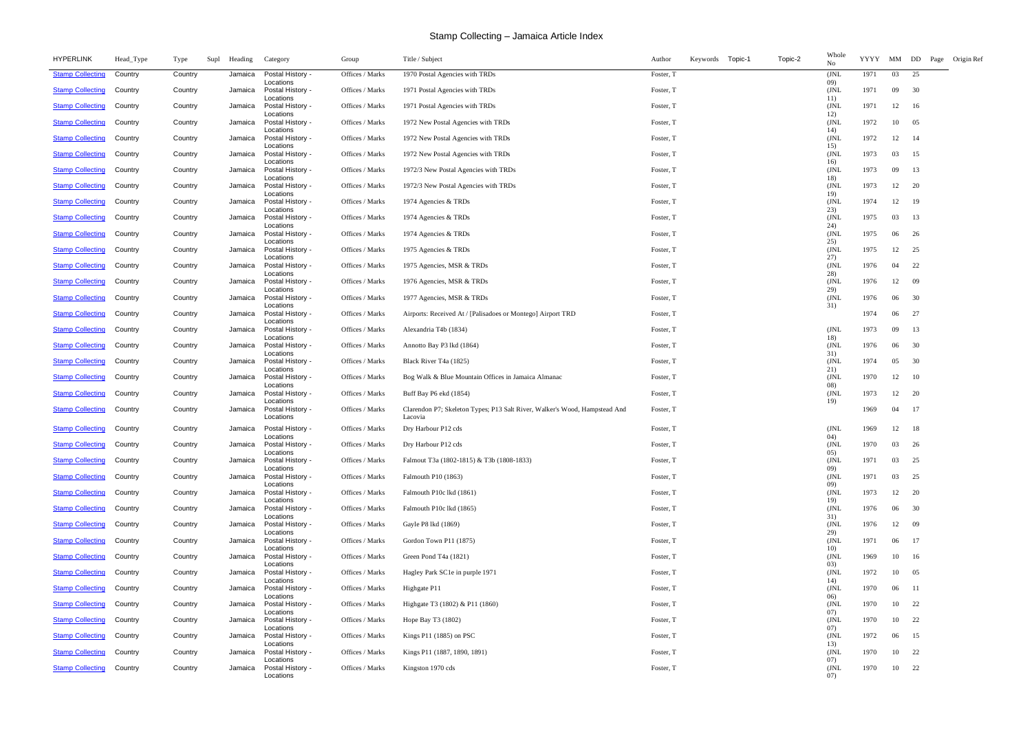| <b>HYPERLINK</b>        | Head_Type | Type    | Heading<br>Supl | Category                                   | Group           | Title / Subject                                                            | Keywords Topic-1<br>Topic-2<br>Author | Whole<br>No | YYYY | MM DD |      | Page Origin Ref |  |
|-------------------------|-----------|---------|-----------------|--------------------------------------------|-----------------|----------------------------------------------------------------------------|---------------------------------------|-------------|------|-------|------|-----------------|--|
| <b>Stamp Collecting</b> | Country   | Country | Jamaica         | Postal History -<br>Locations              | Offices / Marks | 1970 Postal Agencies with TRDs                                             | Foster, T                             | (JNL<br>09) | 1971 | 03    | 25   |                 |  |
| <b>Stamp Collecting</b> | Country   | Country | Jamaica         | Postal History -<br>Locations              | Offices / Marks | 1971 Postal Agencies with TRDs                                             | Foster, T                             | (JNL<br>11) | 1971 | 09    | 30   |                 |  |
| <b>Stamp Collecting</b> | Country   | Country | Jamaica         | Postal History -<br>Locations              | Offices / Marks | 1971 Postal Agencies with TRDs                                             | Foster, T                             | (JNL<br>12) | 1971 | 12    | 16   |                 |  |
| <b>Stamp Collecting</b> | Country   | Country | Jamaica         | Postal History -<br>Locations              | Offices / Marks | 1972 New Postal Agencies with TRDs                                         | Foster, T                             | (JNL<br>14) | 1972 | 10    | 05   |                 |  |
| <b>Stamp Collecting</b> | Country   | Country | Jamaica         | Postal History -<br>Locations              | Offices / Marks | 1972 New Postal Agencies with TRDs                                         | Foster, T                             | (JNL<br>15) | 1972 | 12    | -14  |                 |  |
| <b>Stamp Collecting</b> | Country   | Country | Jamaica         | Postal History -<br>Locations              | Offices / Marks | 1972 New Postal Agencies with TRDs                                         | Foster, T                             | (JNL<br>16) | 1973 | 03    | 15   |                 |  |
| <b>Stamp Collecting</b> | Country   | Country | Jamaica         | Postal History -<br>Locations              | Offices / Marks | 1972/3 New Postal Agencies with TRDs                                       | Foster, T                             | (JNL<br>18) | 1973 | 09    | 13   |                 |  |
| <b>Stamp Collecting</b> | Country   | Country | Jamaica         | Postal History -<br>Locations              | Offices / Marks | 1972/3 New Postal Agencies with TRDs                                       | Foster, T                             | (JNL<br>19) | 1973 | 12    | -20  |                 |  |
| <b>Stamp Collecting</b> | Country   | Country | Jamaica         | Postal History -<br>Locations              | Offices / Marks | 1974 Agencies & TRDs                                                       | Foster, T                             | (JNL<br>23) | 1974 | 12    | -19  |                 |  |
| <b>Stamp Collecting</b> | Country   | Country | Jamaica         | Postal History -<br>Locations              | Offices / Marks | 1974 Agencies & TRDs                                                       | Foster, T                             | (JNL        | 1975 | 03    | 13   |                 |  |
| <b>Stamp Collecting</b> | Country   | Country | Jamaica         | Postal History -<br>Locations              | Offices / Marks | 1974 Agencies & TRDs                                                       | Foster, T                             | 24)<br>(JNL | 1975 | 06    | 26   |                 |  |
| <b>Stamp Collecting</b> | Country   | Country | Jamaica         | Postal History -                           | Offices / Marks | 1975 Agencies & TRDs                                                       | Foster, T                             | 25)<br>(JNL | 1975 | 12    | 25   |                 |  |
| <b>Stamp Collecting</b> | Country   | Country | Jamaica         | Locations<br>Postal History -<br>Locations | Offices / Marks | 1975 Agencies, MSR & TRDs                                                  | Foster, T                             | 27)<br>(JNL | 1976 | 04    | 22   |                 |  |
| <b>Stamp Collecting</b> | Country   | Country | Jamaica         | Postal History -                           | Offices / Marks | 1976 Agencies, MSR & TRDs                                                  | Foster, T                             | 28)<br>(JNL | 1976 | 12    | -09  |                 |  |
| <b>Stamp Collecting</b> | Country   | Country | Jamaica         | Locations<br>Postal History -              | Offices / Marks | 1977 Agencies, MSR & TRDs                                                  | Foster, T                             | 29)<br>(JNL | 1976 | 06    | 30   |                 |  |
| <b>Stamp Collecting</b> | Country   | Country | Jamaica         | Locations<br>Postal History -              | Offices / Marks | Airports: Received At / [Palisadoes or Montego] Airport TRD                | Foster, T                             | 31)         | 1974 | 06    | 27   |                 |  |
| <b>Stamp Collecting</b> | Country   | Country | Jamaica         | Locations<br>Postal History -              | Offices / Marks | Alexandria T4b (1834)                                                      | Foster, T                             | (JNL        | 1973 | 09    | 13   |                 |  |
| <b>Stamp Collecting</b> | Country   | Country | Jamaica         | Locations<br>Postal History -              | Offices / Marks | Annotto Bay P3 lkd (1864)                                                  | Foster, T                             | 18)<br>(JNL | 1976 | 06    | 30   |                 |  |
| <b>Stamp Collecting</b> | Country   | Country | Jamaica         | Locations<br>Postal History -              | Offices / Marks | Black River T <sub>4</sub> a (1825)                                        | Foster, T                             | 31)<br>(JNL | 1974 | 05    | 30   |                 |  |
| <b>Stamp Collecting</b> | Country   | Country | Jamaica         | Locations<br>Postal History -              | Offices / Marks | Bog Walk & Blue Mountain Offices in Jamaica Almanac                        | Foster, T                             | 21)<br>(JNL | 1970 | 12    | -10  |                 |  |
| <b>Stamp Collecting</b> | Country   | Country | Jamaica         | Locations<br>Postal History -              | Offices / Marks | Buff Bay P6 ekd (1854)                                                     | Foster, T                             | 08)<br>(JNL | 1973 | 12    | 20   |                 |  |
| <b>Stamp Collecting</b> | Country   | Country | Jamaica         | Locations<br>Postal History -              | Offices / Marks | Clarendon P7; Skeleton Types; P13 Salt River, Walker's Wood, Hampstead And | Foster, T                             | 19)         | 1969 | 04    | -17  |                 |  |
| <b>Stamp Collecting</b> | Country   | Country | Jamaica         | Locations<br>Postal History -              | Offices / Marks | Lacovia<br>Dry Harbour P12 cds                                             | Foster, T                             | (JNL        | 1969 | 12    | -18  |                 |  |
| <b>Stamp Collecting</b> | Country   | Country | Jamaica         | Locations<br>Postal History -              | Offices / Marks | Dry Harbour P12 cds                                                        | Foster, T                             | 04)<br>(JNL | 1970 | 03    | -26  |                 |  |
| <b>Stamp Collecting</b> | Country   | Country | Jamaica         | Locations<br>Postal History -              | Offices / Marks | Falmout T3a (1802-1815) & T3b (1808-1833)                                  | Foster, T                             | 05)<br>(JNL | 1971 | 03    | 25   |                 |  |
| <b>Stamp Collecting</b> | Country   | Country | Jamaica         | Locations<br>Postal History -              | Offices / Marks | Falmouth P10 (1863)                                                        | Foster, T                             | 09)<br>(JNL | 1971 | 03    | 25   |                 |  |
| <b>Stamp Collecting</b> | Country   | Country | Jamaica         | Locations<br>Postal History -              | Offices / Marks | Falmouth P10c lkd (1861)                                                   | Foster, T                             | 09)<br>(JNL | 1973 | 12    | 20   |                 |  |
| <b>Stamp Collecting</b> | Country   | Country | Jamaica         | Locations<br>Postal History -              | Offices / Marks | Falmouth P10c lkd (1865)                                                   | Foster, T                             | 19)<br>(JNL | 1976 | 06    | 30   |                 |  |
| <b>Stamp Collecting</b> | Country   | Country | Jamaica         | Locations<br>Postal History -              | Offices / Marks | Gayle P8 lkd (1869)                                                        | Foster, T                             | 31)<br>(JNL | 1976 | 12    | -09  |                 |  |
| <b>Stamp Collecting</b> | Country   | Country | Jamaica         | Locations<br>Postal History -              | Offices / Marks | Gordon Town P11 (1875)                                                     | Foster, T                             | 29)<br>(JNL | 1971 | 06    | 17   |                 |  |
| <b>Stamp Collecting</b> | Country   | Country | Jamaica         | Locations<br>Postal History -              | Offices / Marks | Green Pond T4a (1821)                                                      | Foster, T                             | 10)<br>(JNL | 1969 | 10    | 16   |                 |  |
| <b>Stamp Collecting</b> | Country   | Country | Jamaica         | Locations<br>Postal History -              | Offices / Marks | Hagley Park SC1e in purple 1971                                            | Foster, T                             | 03)<br>(JNL | 1972 | 10    | 05   |                 |  |
| <b>Stamp Collecting</b> | Country   | Country | Jamaica         | Locations<br>Postal History -              | Offices / Marks | Highgate P11                                                               | Foster, T                             | 14)<br>(JNL | 1970 | 06    | - 11 |                 |  |
| <b>Stamp Collecting</b> | Country   | Country | Jamaica         | Locations<br>Postal History -              | Offices / Marks | Highgate T3 (1802) & P11 (1860)                                            | Foster, T                             | 06)<br>(JNL | 1970 | 10    | -22  |                 |  |
| <b>Stamp Collecting</b> | Country   | Country | Jamaica         | Locations<br>Postal History -              | Offices / Marks | Hope Bay T3 (1802)                                                         | Foster, T                             | 07)<br>(JNL | 1970 | 10    | 22   |                 |  |
| <b>Stamp Collecting</b> | Country   | Country | Jamaica         | Locations<br>Postal History -              | Offices / Marks | Kings P11 (1885) on PSC                                                    | Foster, T                             | 07)<br>(JNL | 1972 | 06    | 15   |                 |  |
| <b>Stamp Collecting</b> | Country   | Country | Jamaica         | Locations<br>Postal History -              | Offices / Marks | Kings P11 (1887, 1890, 1891)                                               | Foster, T                             | 13)<br>(JNL | 1970 | 10    | 22   |                 |  |
| <b>Stamp Collecting</b> | Country   | Country | Jamaica         | Locations<br>Postal History -              | Offices / Marks | Kingston 1970 cds                                                          | Foster, T                             | 07)<br>(JNL | 1970 | 10    | 22   |                 |  |
|                         |           |         |                 | Locations                                  |                 |                                                                            |                                       | 07)         |      |       |      |                 |  |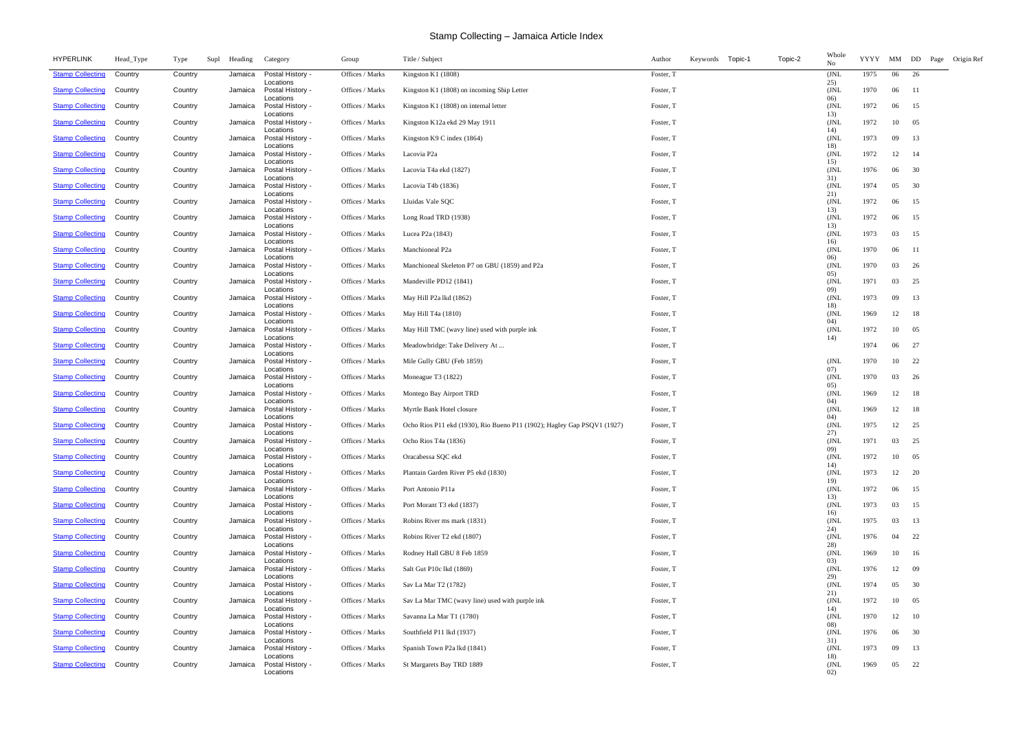| <b>HYPERLINK</b>                | Head_Type | Type    | Supl | Heading | Category                              | Group           | Title / Subject                                                         | Keywords Topic-1<br>Topic-2<br>Author | Whole<br>No  | YYYY | MM DD |      | Page Origin Ref |
|---------------------------------|-----------|---------|------|---------|---------------------------------------|-----------------|-------------------------------------------------------------------------|---------------------------------------|--------------|------|-------|------|-----------------|
| <b>Stamp Collecting</b>         | Country   | Country |      | Jamaica | Postal History -<br>Locations         | Offices / Marks | Kingston K1 $(1808)$                                                    | Foster, T                             | (JNL<br>25)  | 1975 | 06    | 26   |                 |
| <b>Stamp Collecting</b>         | Country   | Country |      | Jamaica | Postal History -<br>Locations         | Offices / Marks | Kingston K1 (1808) on incoming Ship Letter                              | Foster, T                             | (JNL<br>06)  | 1970 | 06    | - 11 |                 |
| <b>Stamp Collecting</b>         | Country   | Country |      | Jamaica | Postal History -<br>Locations         | Offices / Marks | Kingston K1 $(1808)$ on internal letter                                 | Foster, T                             | (JNL<br>13)  | 1972 | 06    | 15   |                 |
| <b>Stamp Collecting</b>         | Country   | Country |      | Jamaica | Postal History -<br>Locations         | Offices / Marks | Kingston K12a ekd 29 May 1911                                           | Foster, T                             | JNL<br>14)   | 1972 | 10    | 05   |                 |
| <b>Stamp Collecting</b>         | Country   | Country |      | Jamaica | Postal History -<br>Locations         | Offices / Marks | Kingston K9 C index (1864)                                              | Foster, T                             | (JNL<br>18)  | 1973 | 09    | 13   |                 |
| <b>Stamp Collecting</b>         | Country   | Country |      | Jamaica | Postal History -<br>Locations         | Offices / Marks | Lacovia P <sub>2a</sub>                                                 | Foster, T                             | (JNL)<br>15) | 1972 | 12    | -14  |                 |
| <b>Stamp Collecting</b>         | Country   | Country |      | Jamaica | Postal History -<br>Locations         | Offices / Marks | Lacovia T4a ekd (1827)                                                  | Foster, T                             | (JNL)<br>31) | 1976 | 06    | 30   |                 |
| <b>Stamp Collecting</b>         | Country   | Country |      | Jamaica | Postal History -<br>Locations         | Offices / Marks | Lacovia T4b (1836)                                                      | Foster, T                             | (JNL)<br>21) | 1974 | 05    | 30   |                 |
| <b>Stamp Collecting</b>         | Country   | Country |      | Jamaica | Postal History -<br>Locations         | Offices / Marks | Lluidas Vale SQC                                                        | Foster, T                             | (JNL<br>13)  | 1972 | 06    | 15   |                 |
| <b>Stamp Collecting</b>         | Country   | Country |      | Jamaica | Postal History -<br>Locations         | Offices / Marks | Long Road TRD (1938)                                                    | Foster, T                             | (JNL         | 1972 | 06    | 15   |                 |
| <b>Stamp Collecting</b>         | Country   | Country |      | Jamaica | Postal History -                      | Offices / Marks | Lucea P <sub>2</sub> a (1843)                                           | Foster, T                             | 13)<br>(JNL  | 1973 | 03    | 15   |                 |
| <b>Stamp Collecting</b>         | Country   | Country |      | Jamaica | Locations<br>Postal History -         | Offices / Marks | Manchioneal P2a                                                         | Foster, T                             | 16)<br>(JNL  | 1970 | 06    | -11  |                 |
| <b>Stamp Collecting</b>         | Country   | Country |      | Jamaica | Locations<br>Postal History -         | Offices / Marks | Manchioneal Skeleton P7 on GBU (1859) and P2a                           | Foster, T                             | 06)<br>(JNL  | 1970 | 03    | 26   |                 |
| <b>Stamp Collecting</b>         | Country   | Country |      | Jamaica | Locations<br>Postal History -         | Offices / Marks | Mandeville PD12 (1841)                                                  | Foster, T                             | 05)<br>(JNL  | 1971 | 03    | 25   |                 |
| <b>Stamp Collecting</b>         | Country   | Country |      | Jamaica | Locations<br>Postal History -         | Offices / Marks | May Hill P2a lkd (1862)                                                 | Foster, T                             | 09)<br>(JNL  | 1973 | 09    | 13   |                 |
| <b>Stamp Collecting</b>         | Country   | Country |      | Jamaica | Locations<br>Postal History -         | Offices / Marks | May Hill T4a (1810)                                                     | Foster, T                             | 18)<br>(JNL  | 1969 | 12    | - 18 |                 |
| <b>Stamp Collecting</b>         | Country   | Country |      | Jamaica | Locations<br>Postal History -         | Offices / Marks | May Hill TMC (wavy line) used with purple ink                           | Foster, T                             | 04)<br>(JNL  | 1972 | 10    | 05   |                 |
| <b>Stamp Collecting</b>         | Country   | Country |      | Jamaica | Locations<br>Postal History -         | Offices / Marks | Meadowbridge: Take Delivery At                                          | Foster, T                             | 14)          | 1974 | 06    | 27   |                 |
| <b>Stamp Collecting</b>         | Country   | Country |      | Jamaica | Locations<br>Postal History -         | Offices / Marks | Mile Gully GBU (Feb 1859)                                               | Foster, T                             | (JNL         | 1970 | 10    | 22   |                 |
| <b>Stamp Collecting</b>         | Country   | Country |      | Jamaica | Locations<br>Postal History -         | Offices / Marks | Moneague T3 (1822)                                                      | Foster, T                             | 07)<br>(JNL  | 1970 | 03    | 26   |                 |
| <b>Stamp Collecting</b>         | Country   | Country |      | Jamaica | Locations<br>Postal History -         | Offices / Marks | Montego Bay Airport TRD                                                 | Foster, T                             | 05)<br>(JNL  | 1969 | 12    | 18   |                 |
| <b>Stamp Collecting</b>         | Country   | Country |      | Jamaica | Locations<br>Postal History -         | Offices / Marks | Myrtle Bank Hotel closure                                               | Foster, T                             | 04)<br>(JNL  | 1969 | 12    | -18  |                 |
| <b>Stamp Collecting</b>         | Country   | Country |      | Jamaica | Locations<br>Postal History -         | Offices / Marks | Ocho Rios P11 ekd (1930), Rio Bueno P11 (1902); Hagley Gap PSQV1 (1927) | Foster, T                             | 04)<br>(JNL  | 1975 | 12    | 25   |                 |
| <b>Stamp Collecting Country</b> |           | Country |      |         | Locations<br>Jamaica Postal History - | Offices / Marks | Ocho Rios T4a (1836)                                                    | Foster, T                             | 27)<br>(JNL  | 1971 | 03 25 |      |                 |
| <b>Stamp Collecting</b>         | Country   | Country |      | Jamaica | Locations<br>Postal History -         | Offices / Marks | Oracabessa SQC ekd                                                      | Foster, T                             | 09)<br>(JNL  | 1972 | 10    | 05   |                 |
| <b>Stamp Collecting</b>         | Country   | Country |      | Jamaica | Locations<br>Postal History -         | Offices / Marks | Plantain Garden River P5 ekd (1830)                                     | Foster, T                             | 14)<br>(JNL  | 1973 | 12    | 20   |                 |
| <b>Stamp Collecting</b>         | Country   | Country |      | Jamaica | Locations<br>Postal History -         | Offices / Marks | Port Antonio P11a                                                       | Foster, T                             | 19)<br>(JNL  | 1972 | 06    | 15   |                 |
| <b>Stamp Collecting</b>         | Country   | Country |      | Jamaica | Locations<br>Postal History -         | Offices / Marks | Port Morant T3 ekd (1837)                                               | Foster, T                             | 13)<br>(JNL  | 1973 | 03    | 15   |                 |
| <b>Stamp Collecting</b>         | Country   | Country |      | Jamaica | Locations<br>Postal History -         | Offices / Marks | Robins River ms mark (1831)                                             | Foster, T                             | 16)<br>(JNL  | 1975 | 03    | 13   |                 |
| <b>Stamp Collecting</b>         | Country   | Country |      | Jamaica | Locations<br>Postal History -         | Offices / Marks | Robins River T2 ekd (1807)                                              | Foster, T                             | 24)<br>(JNL  | 1976 | 04    | 22   |                 |
| <b>Stamp Collecting</b>         | Country   | Country |      | Jamaica | Locations<br>Postal History -         | Offices / Marks | Rodney Hall GBU 8 Feb 1859                                              | Foster, T                             | 28)<br>(JNL  | 1969 | 10    | 16   |                 |
| <b>Stamp Collecting</b>         | Country   | Country |      | Jamaica | Locations<br>Postal History -         | Offices / Marks | Salt Gut P10c lkd (1869)                                                | Foster, T                             | 03)<br>(JNL  | 1976 | 12    | - 09 |                 |
| <b>Stamp Collecting</b>         | Country   | Country |      | Jamaica | Locations<br>Postal History -         | Offices / Marks | Sav La Mar T <sub>2</sub> (1782)                                        | Foster, T                             | 29)<br>(JNL  | 1974 | 05    | 30   |                 |
| <b>Stamp Collecting</b>         | Country   | Country |      | Jamaica | Locations<br>Postal History -         | Offices / Marks | Sav La Mar TMC (wavy line) used with purple ink                         | Foster, T                             | 21)<br>(JNL  | 1972 | 10    | 05   |                 |
| <b>Stamp Collecting</b>         | Country   | Country |      | Jamaica | Locations<br>Postal History -         | Offices / Marks | Savanna La Mar T1 (1780)                                                | Foster, T                             | 14)<br>(JNL  | 1970 | 12    | - 10 |                 |
| <b>Stamp Collecting</b>         | Country   | Country |      | Jamaica | Locations<br>Postal History -         | Offices / Marks | Southfield P11 lkd (1937)                                               | Foster, T                             | 08)<br>(JNL  | 1976 | 06    | 30   |                 |
| <b>Stamp Collecting</b>         | Country   | Country |      | Jamaica | Locations<br>Postal History -         | Offices / Marks | Spanish Town P2a lkd (1841)                                             | Foster, T                             | 31)<br>(JNL  | 1973 | 09    | -13  |                 |
| <b>Stamp Collecting</b>         | Country   | Country |      | Jamaica | Locations<br>Postal History -         | Offices / Marks | St Margarets Bay TRD 1889                                               | Foster, T                             | 18)<br>(JNL  | 1969 | 05    | 22   |                 |
|                                 |           |         |      |         | Locations                             |                 |                                                                         |                                       | 02)          |      |       |      |                 |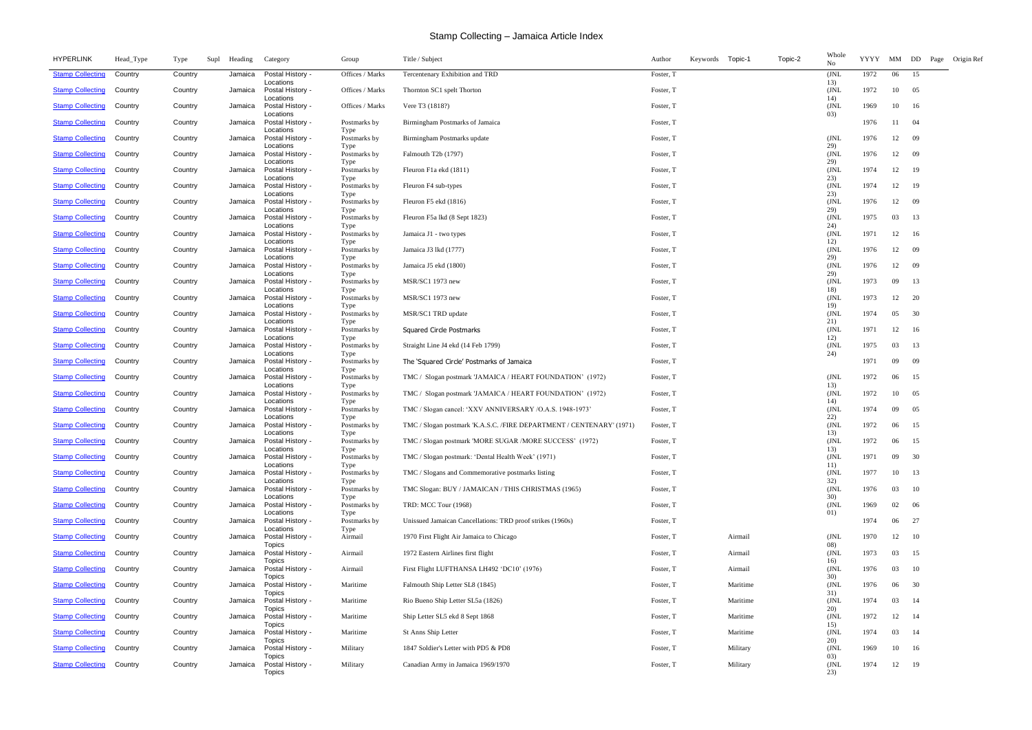| <b>HYPERLINK</b>        | Head_Type | Type    | Supl | Heading | Category                                    | Group                        | Title / Subject                                                      | Author    | Keywords Topic-1 |          | Topic-2 | Whole<br>No        | YYYY | MM    | DD<br>Page | Origin Ref |
|-------------------------|-----------|---------|------|---------|---------------------------------------------|------------------------------|----------------------------------------------------------------------|-----------|------------------|----------|---------|--------------------|------|-------|------------|------------|
| <b>Stamp Collecting</b> | Country   | Country |      | Jamaica | Postal History -<br>Locations               | Offices / Marks              | Tercentenary Exhibition and TRD                                      | Foster, T |                  |          |         | (JNL)<br>13)       | 1972 | 06    | 15         |            |
| <b>Stamp Collecting</b> | Country   | Country |      | Jamaica | Postal History -<br>Locations               | Offices / Marks              | Thornton SC1 spelt Thorton                                           | Foster, T |                  |          |         | (JNL<br>14)        | 1972 | 10    | 05         |            |
| <b>Stamp Collecting</b> | Country   | Country |      | Jamaica | Postal History -<br>Locations               | Offices / Marks              | Vere T <sub>3</sub> (1818?)                                          | Foster, T |                  |          |         | (JNL<br>03)        | 1969 | 10    | 16         |            |
| <b>Stamp Collecting</b> | Country   | Country |      | Jamaica | Postal History -<br>Locations               | Postmarks by<br>Type         | Birmingham Postmarks of Jamaica                                      | Foster, T |                  |          |         |                    | 1976 | 11    | -04        |            |
| <b>Stamp Collecting</b> | Country   | Country |      | Jamaica | Postal History -<br>Locations               | Postmarks by<br>Type         | Birmingham Postmarks update                                          | Foster, T |                  |          |         | (JNL)<br>29)       | 1976 | 12    | -09        |            |
| <b>Stamp Collecting</b> | Country   | Country |      | Jamaica | Postal History -<br>Locations               | Postmarks by<br>Type         | Falmouth T2b (1797)                                                  | Foster, T |                  |          |         | (JNL<br>29)        | 1976 | 12    | - 09       |            |
| <b>Stamp Collecting</b> | Country   | Country |      | Jamaica | Postal History -<br>Locations               | Postmarks by<br>Type         | Fleuron F1a ekd (1811)                                               | Foster, T |                  |          |         | (JNL<br>23)        | 1974 | 12    | -19        |            |
| <b>Stamp Collecting</b> | Country   | Country |      | Jamaica | Postal History -<br>Locations               | Postmarks by<br>Type         | Fleuron F4 sub-types                                                 | Foster, T |                  |          |         | (JNL<br>23)        | 1974 | 12    | 19         |            |
| <b>Stamp Collecting</b> | Country   | Country |      | Jamaica | Postal History -<br>Locations               | Postmarks by<br>Type         | Fleuron F5 ekd (1816)                                                | Foster, T |                  |          |         | (JNL<br>29)        | 1976 | 12    | -09        |            |
| <b>Stamp Collecting</b> | Country   | Country |      | Jamaica | Postal History -<br>Locations               | Postmarks by<br>Type         | Fleuron F5a lkd (8 Sept 1823)                                        | Foster, T |                  |          |         | (JNL<br>24)        | 1975 | 03    | 13         |            |
| <b>Stamp Collecting</b> | Country   | Country |      | Jamaica | Postal History -<br>Locations               | Postmarks by<br>Type         | Jamaica J1 - two types                                               | Foster, T |                  |          |         | (JNL<br>12)        | 1971 | 12    | 16         |            |
| <b>Stamp Collecting</b> | Country   | Country |      | Jamaica | Postal History -<br>Locations               | Postmarks by<br>Type         | Jamaica J3 lkd (1777)                                                | Foster, T |                  |          |         | (JNL<br>29)        | 1976 | 12    | -09        |            |
| <b>Stamp Collecting</b> | Country   | Country |      | Jamaica | Postal History -<br>Locations               | Postmarks by<br>Type         | Jamaica J5 ekd (1800)                                                | Foster, T |                  |          |         | (JNL<br>29)        | 1976 | 12    | - 09       |            |
| <b>Stamp Collecting</b> | Country   | Country |      | Jamaica | Postal History -<br>Locations               | Postmarks by<br>Type         | MSR/SC1 1973 new                                                     | Foster, T |                  |          |         | (JNL<br>18)        | 1973 | 09    | 13         |            |
| <b>Stamp Collecting</b> | Country   | Country |      | Jamaica | Postal History -<br>Locations               | Postmarks by<br>Type         | MSR/SC1 1973 new                                                     | Foster, T |                  |          |         | (JNL<br>19)        | 1973 | 12    | 20         |            |
| <b>Stamp Collecting</b> | Country   | Country |      | Jamaica | Postal History -<br>Locations               | Postmarks by<br>Type         | MSR/SC1 TRD update                                                   | Foster, T |                  |          |         | (JNL<br>21)        | 1974 | 05    | 30         |            |
| <b>Stamp Collecting</b> | Country   | Country |      | Jamaica | Postal History -<br>Locations               | Postmarks by<br>Type         | Squared Circle Postmarks                                             | Foster, T |                  |          |         | (JNL<br>12)        | 1971 | 12    | 16         |            |
| <b>Stamp Collecting</b> | Country   | Country |      | Jamaica | Postal History -<br>Locations               | Postmarks by<br>Type         | Straight Line J4 ekd (14 Feb 1799)                                   | Foster, T |                  |          |         | (JNL<br>24)        | 1975 | 03    | 13         |            |
| <b>Stamp Collecting</b> | Country   | Country |      | Jamaica | Postal History -<br>Locations               | Postmarks by                 | The 'Squared Circle' Postmarks of Jamaica                            | Foster, T |                  |          |         |                    | 1971 | 09    | -09        |            |
| <b>Stamp Collecting</b> | Country   | Country |      | Jamaica | Postal History -<br>Locations               | Type<br>Postmarks by<br>Type | TMC / Slogan postmark 'JAMAICA / HEART FOUNDATION' (1972)            | Foster, T |                  |          |         | (JNL)<br>13)       | 1972 | 06    | 15         |            |
| <b>Stamp Collecting</b> | Country   | Country |      | Jamaica | Postal History -<br>Locations               | Postmarks by<br>Type         | TMC / Slogan postmark 'JAMAICA / HEART FOUNDATION' (1972)            | Foster, T |                  |          |         | (JNL<br>14)        | 1972 | 10    | 05         |            |
| <b>Stamp Collecting</b> | Country   | Country |      | Jamaica | Postal History -<br>Locations               | Postmarks by                 | TMC / Slogan cancel: 'XXV ANNIVERSARY /O.A.S. 1948-1973'             | Foster, T |                  |          |         | (JNL<br>22)        | 1974 | 09    | 05         |            |
| <b>Stamp Collecting</b> | Country   | Country |      | Jamaica | Postal History -<br>Locations               | Type<br>Postmarks by<br>Type | TMC / Slogan postmark 'K.A.S.C. /FIRE DEPARTMENT / CENTENARY' (1971) | Foster, T |                  |          |         | (JNL<br>13)        | 1972 | 06    | 15         |            |
| <b>Stamp Collecting</b> | Country   | Country |      | Jamaica | Postal History -<br>Locations               | Postmarks by                 | TMC / Slogan postmark 'MORE SUGAR /MORE SUCCESS' (1972)              | Foster, T |                  |          |         | (JNL<br>13)        | 1972 | 06 15 |            |            |
| <b>Stamp Collecting</b> | Country   | Country |      | Jamaica | Postal History -<br>Locations               | Type<br>Postmarks by         | TMC / Slogan postmark: 'Dental Health Week' (1971)                   | Foster, T |                  |          |         | (JNL<br>11)        | 1971 | 09    | 30         |            |
| <b>Stamp Collecting</b> | Country   | Country |      | Jamaica | Postal History -<br>Locations               | Type<br>Postmarks by         | TMC / Slogans and Commemorative postmarks listing                    | Foster, T |                  |          |         | (JNL<br>32)        | 1977 | 10    | 13         |            |
| <b>Stamp Collecting</b> | Country   | Country |      | Jamaica | Postal History -<br>Locations               | Type<br>Postmarks by         | TMC Slogan: BUY / JAMAICAN / THIS CHRISTMAS (1965)                   | Foster, T |                  |          |         | (JNL)<br>30)       | 1976 | 03    | 10         |            |
| <b>Stamp Collecting</b> | Country   | Country |      | Jamaica | Postal History -<br>Locations               | Type<br>Postmarks by<br>Type | TRD: MCC Tour (1968)                                                 | Foster, T |                  |          |         | (JNL<br>01)        | 1969 | 02    | -06        |            |
| <b>Stamp Collecting</b> | Country   | Country |      | Jamaica | Postal History -<br>Locations               | Postmarks by                 | Unissued Jamaican Cancellations: TRD proof strikes (1960s)           | Foster, T |                  |          |         |                    | 1974 | 06    | 27         |            |
| <b>Stamp Collecting</b> | Country   | Country |      | Jamaica | Postal History -<br><b>Topics</b>           | Type<br>Airmail              | 1970 First Flight Air Jamaica to Chicago                             | Foster, T |                  | Airmail  |         | (JNL<br>08)        | 1970 | 12    | 10         |            |
| <b>Stamp Collecting</b> | Country   | Country |      | Jamaica | Postal History -<br><b>Topics</b>           | Airmail                      | 1972 Eastern Airlines first flight                                   | Foster, T |                  | Airmail  |         | (JNL<br>16)        | 1973 | 03    | 15         |            |
| <b>Stamp Collecting</b> | Country   | Country |      | Jamaica | Postal History -<br><b>Topics</b>           | Airmail                      | First Flight LUFTHANSA LH492 'DC10' (1976)                           | Foster, T |                  | Airmail  |         | (JNL)<br>30)       | 1976 | 03    | 10         |            |
| <b>Stamp Collecting</b> | Country   | Country |      | Jamaica | Postal History -<br><b>Topics</b>           | Maritime                     | Falmouth Ship Letter SL8 (1845)                                      | Foster, T |                  | Maritime |         | (JNL<br>31)        | 1976 | 06    | 30         |            |
| <b>Stamp Collecting</b> | Country   | Country |      | Jamaica | Postal History -                            | Maritime                     | Rio Bueno Ship Letter SL5a (1826)                                    | Foster, T |                  | Maritime |         | (JNL)<br>20)       | 1974 | 03    | -14        |            |
| <b>Stamp Collecting</b> | Country   | Country |      | Jamaica | Topics<br>Postal History -<br>Topics        | Maritime                     | Ship Letter SL5 ekd 8 Sept 1868                                      | Foster, T |                  | Maritime |         | (JNL<br>15)        | 1972 | 12    | 14         |            |
| <b>Stamp Collecting</b> | Country   | Country |      | Jamaica | Postal History -                            | Maritime                     | St Anns Ship Letter                                                  | Foster, T |                  | Maritime |         | (JNL<br>20)        | 1974 | 03    | -14        |            |
| <b>Stamp Collecting</b> | Country   | Country |      | Jamaica | Topics<br>Postal History -                  | Military                     | 1847 Soldier's Letter with PD5 & PD8                                 | Foster, T |                  | Military |         | (JNL               | 1969 | 10    | 16         |            |
| <b>Stamp Collecting</b> | Country   | Country |      | Jamaica | Topics<br>Postal History -<br><b>Topics</b> | Military                     | Canadian Army in Jamaica 1969/1970                                   | Foster, T |                  | Military |         | 03)<br>(JNL<br>23) | 1974 | 12    | - 19       |            |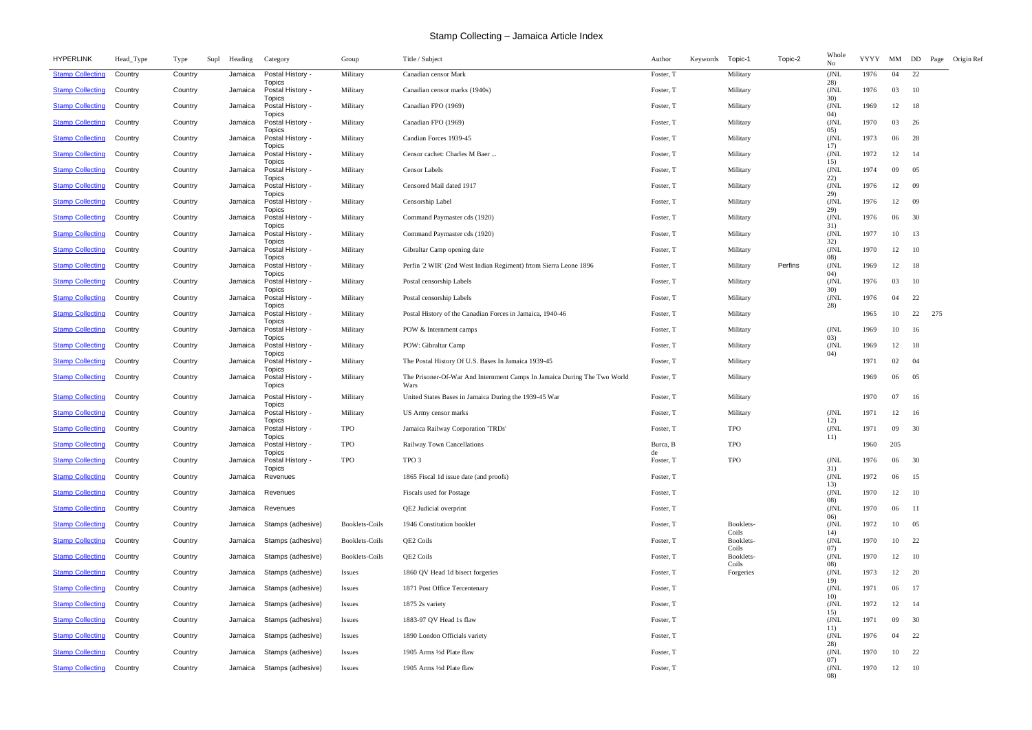| <b>HYPERLINK</b>        | Head_Type | Type<br>Supl | Heading | Category                                    | Group                 | Title / Subject                                                                  | Author          | Keywords | Topic-1            | Topic-2 | Whole<br>No  | YYYY MM DD |       |      | Page | Origin Ref |
|-------------------------|-----------|--------------|---------|---------------------------------------------|-----------------------|----------------------------------------------------------------------------------|-----------------|----------|--------------------|---------|--------------|------------|-------|------|------|------------|
| <b>Stamp Collecting</b> | Country   | Country      | Jamaica | Postal History -<br>Topics                  | Military              | Canadian censor Mark                                                             | Foster, T       |          | Military           |         | (JNL)<br>28) | 1976       | 04    | 22   |      |            |
| <b>Stamp Collecting</b> | Country   | Country      | Jamaica | Postal History -<br><b>Topics</b>           | Military              | Canadian censor marks (1940s)                                                    | Foster, T       |          | Military           |         | (JNL<br>30)  | 1976       | 03    | - 10 |      |            |
| <b>Stamp Collecting</b> | Country   | Country      | Jamaica | Postal History -<br>Topics                  | Military              | Canadian FPO (1969)                                                              | Foster, T       |          | Military           |         | (JNL<br>04)  | 1969       | 12    | -18  |      |            |
| <b>Stamp Collecting</b> | Country   | Country      | Jamaica | Postal History -<br><b>Topics</b>           | Military              | Canadian FPO (1969)                                                              | Foster, T       |          | Military           |         | (JNL)<br>05) | 1970       | 03    | - 26 |      |            |
| <b>Stamp Collecting</b> | Country   | Country      | Jamaica | Postal History -<br><b>Topics</b>           | Military              | Candian Forces 1939-45                                                           | Foster, T       |          | Military           |         | (JNL<br>17)  | 1973       | 06    | 28   |      |            |
| <b>Stamp Collecting</b> | Country   | Country      | Jamaica | Postal History -<br>Topics                  | Military              | Censor cachet: Charles M Baer                                                    | Foster, T       |          | Military           |         | (JNL<br>15)  | 1972       | 12    | -14  |      |            |
| <b>Stamp Collecting</b> | Country   | Country      | Jamaica | Postal History -<br><b>Topics</b>           | Military              | <b>Censor Labels</b>                                                             | Foster, T       |          | Military           |         | (JNL<br>22)  | 1974       | 09    | 05   |      |            |
| <b>Stamp Collecting</b> | Country   | Country      | Jamaica | Postal History -<br><b>Topics</b>           | Military              | Censored Mail dated 1917                                                         | Foster, T       |          | Military           |         | (JNL)<br>29) | 1976       | 12    | -09  |      |            |
| <b>Stamp Collecting</b> | Country   | Country      | Jamaica | Postal History -<br>Topics                  | Military              | Censorship Label                                                                 | Foster, T       |          | Military           |         | (JNL<br>29)  | 1976       | 12    | -09  |      |            |
| <b>Stamp Collecting</b> | Country   | Country      | Jamaica | Postal History -                            | Military              | Command Paymaster cds (1920)                                                     | Foster, T       |          | Military           |         | (JNL)        | 1976       | 06    | 30   |      |            |
| <b>Stamp Collecting</b> | Country   | Country      | Jamaica | <b>Topics</b><br>Postal History -           | Military              | Command Paymaster cds (1920)                                                     | Foster, T       |          | Military           |         | 31)<br>(JNL) | 1977       | 10    | 13   |      |            |
| <b>Stamp Collecting</b> | Country   | Country      | Jamaica | <b>Topics</b><br>Postal History -           | Military              | Gibraltar Camp opening date                                                      | Foster, T       |          | Military           |         | 32)<br>(JNL) | 1970       | 12    | -10  |      |            |
| <b>Stamp Collecting</b> | Country   | Country      | Jamaica | <b>Topics</b><br>Postal History -           | Military              | Perfin '2 WIR' (2nd West Indian Regiment) from Sierra Leone 1896                 | Foster, T       |          | Military           | Perfins | 08)<br>(JNL  | 1969       | 12    | 18   |      |            |
| <b>Stamp Collecting</b> | Country   | Country      | Jamaica | <b>Topics</b><br>Postal History -           | Military              | Postal censorship Labels                                                         | Foster, T       |          | Military           |         | 04)<br>(JNL  | 1976       | 03    | 10   |      |            |
| <b>Stamp Collecting</b> | Country   | Country      | Jamaica | <b>Topics</b><br>Postal History -           | Military              | Postal censorship Labels                                                         | Foster, T       |          | Military           |         | 30)<br>(JNL  | 1976       | 04    | 22   |      |            |
| <b>Stamp Collecting</b> | Country   | Country      | Jamaica | <b>Topics</b><br>Postal History -           | Military              | Postal History of the Canadian Forces in Jamaica, 1940-46                        | Foster, T       |          | Military           |         | 28)          | 1965       | 10    | 22   | 275  |            |
| <b>Stamp Collecting</b> | Country   | Country      | Jamaica | <b>Topics</b><br>Postal History -           | Military              | POW & Internment camps                                                           | Foster, T       |          | Military           |         | (JNL         | 1969       | 10    | - 16 |      |            |
| <b>Stamp Collecting</b> | Country   | Country      | Jamaica | <b>Topics</b><br>Postal History -           | Military              | POW: Gibraltar Camp                                                              | Foster, T       |          | Military           |         | 03)<br>(JNL  | 1969       | 12    | 18   |      |            |
| <b>Stamp Collecting</b> | Country   | Country      | Jamaica | <b>Topics</b><br>Postal History -           | Military              | The Postal History Of U.S. Bases In Jamaica 1939-45                              | Foster, T       |          | Military           |         | 04)          | 1971       | 02    | 04   |      |            |
| <b>Stamp Collecting</b> | Country   | Country      | Jamaica | <b>Topics</b><br>Postal History -<br>Topics | Military              | The Prisoner-Of-War And Internment Camps In Jamaica During The Two World<br>Wars | Foster, T       |          | Military           |         |              | 1969       | 06    | 05   |      |            |
| <b>Stamp Collecting</b> | Country   | Country      | Jamaica | Postal History -                            | Military              | United States Bases in Jamaica During the 1939-45 War                            | Foster, T       |          | Military           |         |              | 1970       | 07    | -16  |      |            |
| <b>Stamp Collecting</b> | Country   | Country      | Jamaica | Topics<br>Postal History -                  | Military              | US Army censor marks                                                             | Foster, T       |          | Military           |         | (JNL         | 1971       | 12    | -16  |      |            |
| <b>Stamp Collecting</b> | Country   | Country      | Jamaica | Topics<br>Postal History -                  | TPO                   | Jamaica Railway Corporation 'TRDs'                                               | Foster, T       |          | <b>TPO</b>         |         | 12)<br>(JNL) | 1971       | 09    | 30   |      |            |
| <b>Stamp Collecting</b> | Country   | Country      | Jamaica | <b>Topics</b><br>Postal History -           | <b>TPO</b>            | Railway Town Cancellations                                                       | Burca, B        |          | <b>TPO</b>         |         | 11)          | 1960       | 205   |      |      |            |
| <b>Stamp Collecting</b> | Country   | Country      | Jamaica | Topics<br>Postal History -                  | TPO                   | TPO 3                                                                            | de<br>Foster, T |          | <b>TPO</b>         |         | (JNL         | 1976       | 06    | 30   |      |            |
| <b>Stamp Collecting</b> | Country   | Country      | Jamaica | Topics<br>Revenues                          |                       | 1865 Fiscal 1d issue date (and proofs)                                           | Foster, T       |          |                    |         | 31)<br>(JNL  | 1972       | 06    | 15   |      |            |
| <b>Stamp Collecting</b> | Country   | Country      | Jamaica | Revenues                                    |                       | Fiscals used for Postage                                                         | Foster, T       |          |                    |         | 13)<br>(JNL  | 1970       | 12    | - 10 |      |            |
| <b>Stamp Collecting</b> | Country   | Country      | Jamaica | Revenues                                    |                       | QE2 Judicial overprint                                                           | Foster, T       |          |                    |         | 08)<br>(JNL  | 1970       | 06    | - 11 |      |            |
| <b>Stamp Collecting</b> | Country   | Country      | Jamaica | Stamps (adhesive)                           | <b>Booklets-Coils</b> | 1946 Constitution booklet                                                        | Foster, T       |          | Booklets-          |         | 06)<br>(JNL  | 1972       | 10    | 05   |      |            |
| <b>Stamp Collecting</b> | Country   | Country      | Jamaica | Stamps (adhesive)                           | <b>Booklets-Coils</b> | QE2 Coils                                                                        | Foster, T       |          | Coils<br>Booklets- |         | 14)<br>(JNL  | 1970       | 10    | 22   |      |            |
| <b>Stamp Collecting</b> | Country   | Country      | Jamaica | Stamps (adhesive)                           | <b>Booklets-Coils</b> | QE2 Coils                                                                        | Foster, T       |          | Coils<br>Booklets- |         | 07)<br>(JNL  | 1970       | 12    | 10   |      |            |
| <b>Stamp Collecting</b> | Country   | Country      | Jamaica | Stamps (adhesive)                           | Issues                | 1860 QV Head 1d bisect forgeries                                                 | Foster, T       |          | Coils<br>Forgeries |         | 08)<br>(JNL  | 1973       | 12    | 20   |      |            |
| <b>Stamp Collecting</b> | Country   | Country      | Jamaica | Stamps (adhesive)                           | <i>Issues</i>         | 1871 Post Office Tercentenary                                                    | Foster, T       |          |                    |         | 19)<br>(JNL  | 1971       | 06    | 17   |      |            |
| <b>Stamp Collecting</b> | Country   | Country      | Jamaica | Stamps (adhesive)                           | <i>Issues</i>         | 1875 2s variety                                                                  | Foster, T       |          |                    |         | 10)<br>(JNL  | 1972       | 12    | - 14 |      |            |
| <b>Stamp Collecting</b> | Country   | Country      | Jamaica | Stamps (adhesive)                           | Issues                | 1883-97 QV Head 1s flaw                                                          | Foster, T       |          |                    |         | 15)<br>(JNL  | 1971       | 09    | 30   |      |            |
| <b>Stamp Collecting</b> | Country   | Country      | Jamaica | Stamps (adhesive)                           | Issues                | 1890 London Officials variety                                                    | Foster, T       |          |                    |         | 11)<br>(JNL  | 1976       | 04    | 22   |      |            |
| <b>Stamp Collecting</b> | Country   | Country      | Jamaica | Stamps (adhesive)                           | Issues                | 1905 Arms 1/2d Plate flaw                                                        | Foster, T       |          |                    |         | 28)<br>(JNL  | 1970       | 10    | 22   |      |            |
| <b>Stamp Collecting</b> | Country   | Country      | Jamaica | Stamps (adhesive)                           | Issues                | 1905 Arms 1/2d Plate flaw                                                        | Foster, T       |          |                    |         | 07)<br>(JNL  | 1970       | 12 10 |      |      |            |
|                         |           |              |         |                                             |                       |                                                                                  |                 |          |                    |         | 08)          |            |       |      |      |            |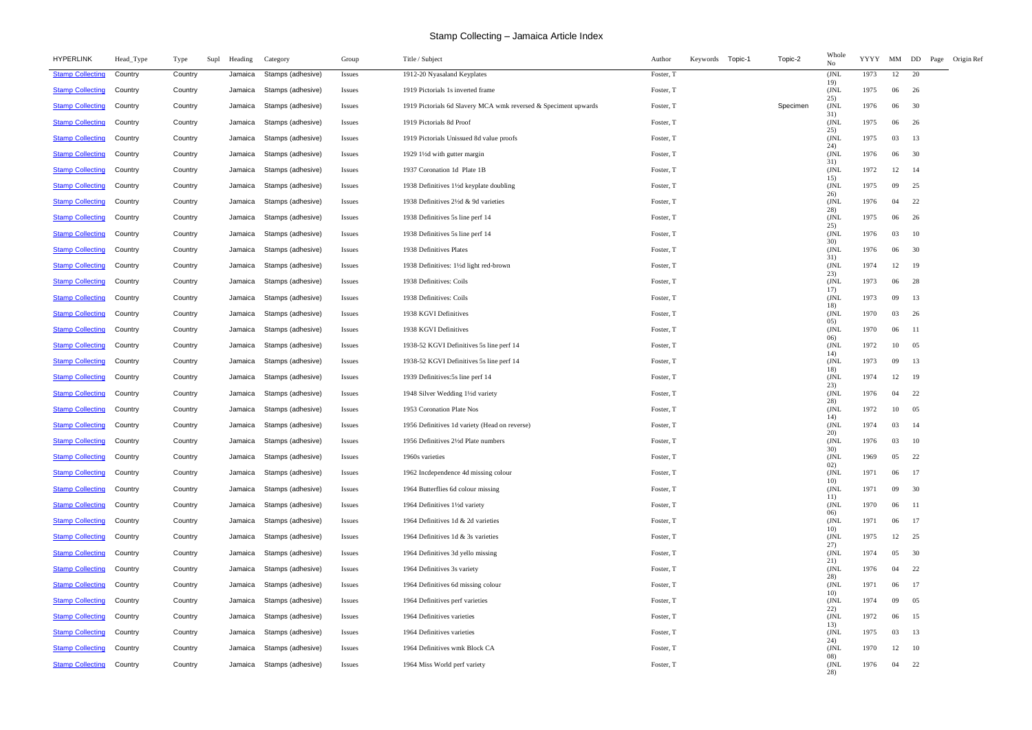| <b>HYPERLINK</b>        | Head_Type | Type<br>Supl | Heading | Category          | Group         | Title / Subject                                                 | Keywords<br>Topic-1<br>Author | Topic-2  | Whole<br>No         | YYYY MM DD |       | Page<br>Origin Ref |  |
|-------------------------|-----------|--------------|---------|-------------------|---------------|-----------------------------------------------------------------|-------------------------------|----------|---------------------|------------|-------|--------------------|--|
| <b>Stamp Collecting</b> | Country   | Country      | Jamaica | Stamps (adhesive) | Issues        | 1912-20 Nyasaland Keyplates                                     | Foster, T                     |          | (JNL<br>19)         | 1973       | 12    | 20                 |  |
| <b>Stamp Collecting</b> | Country   | Country      | Jamaica | Stamps (adhesive) | <b>Issues</b> | 1919 Pictorials 1s inverted frame                               | Foster, T                     |          | (JNL<br>25)         | 1975       | 06    | 26                 |  |
| <b>Stamp Collecting</b> | Country   | Country      | Jamaica | Stamps (adhesive) | <b>Issues</b> | 1919 Pictorials 6d Slavery MCA wmk reversed & Speciment upwards | Foster, T                     | Specimen | (JNL<br>31)         | 1976       | 06    | 30                 |  |
| <b>Stamp Collecting</b> | Country   | Country      | Jamaica | Stamps (adhesive) | <b>Issues</b> | 1919 Pictorials 8d Proof                                        | Foster, T                     |          | (JNL<br>25)         | 1975       | 06    | 26                 |  |
| <b>Stamp Collecting</b> | Country   | Country      | Jamaica | Stamps (adhesive) | Issues        | 1919 Pictorials Unissued 8d value proofs                        | Foster, T                     |          | (JNL<br>24)         | 1975       | 03    | 13                 |  |
| <b>Stamp Collecting</b> | Country   | Country      | Jamaica | Stamps (adhesive) | Issues        | 1929 11/2d with gutter margin                                   | Foster, T                     |          | (JNL<br>31)         | 1976       | 06    | 30                 |  |
| <b>Stamp Collecting</b> | Country   | Country      | Jamaica | Stamps (adhesive) | <b>Issues</b> | 1937 Coronation 1d Plate 1B                                     | Foster, T                     |          | (JNL<br>15)         | 1972       | 12    | -14                |  |
| <b>Stamp Collecting</b> | Country   | Country      | Jamaica | Stamps (adhesive) | Issues        | 1938 Definitives 11/2d keyplate doubling                        | Foster, T                     |          | (JNL<br>26)         | 1975       | 09    | 25                 |  |
| <b>Stamp Collecting</b> | Country   | Country      | Jamaica | Stamps (adhesive) | Issues        | 1938 Definitives 21/2d & 9d varieties                           | Foster, T                     |          | (JNL<br>28)         | 1976       | 04    | 22                 |  |
| <b>Stamp Collecting</b> | Country   | Country      | Jamaica | Stamps (adhesive) | <b>Issues</b> | 1938 Definitives 5s line perf 14                                | Foster, T                     |          | (JNL                | 1975       | 06    | 26                 |  |
| <b>Stamp Collecting</b> | Country   | Country      | Jamaica | Stamps (adhesive) | <b>Issues</b> | 1938 Definitives 5s line perf 14                                | Foster, T                     |          | 25)<br>(JNL<br>30)  | 1976       | 03    | 10                 |  |
| <b>Stamp Collecting</b> | Country   | Country      | Jamaica | Stamps (adhesive) | <i>Issues</i> | 1938 Definitives Plates                                         | Foster, T                     |          | (JNL                | 1976       | 06    | 30                 |  |
| <b>Stamp Collecting</b> | Country   | Country      | Jamaica | Stamps (adhesive) | <b>Issues</b> | 1938 Definitives: 11/2d light red-brown                         | Foster, T                     |          | 31)<br>(JNL<br>23)  | 1974       | 12    | - 19               |  |
| <b>Stamp Collecting</b> | Country   | Country      | Jamaica | Stamps (adhesive) | <b>Issues</b> | 1938 Definitives: Coils                                         | Foster, T                     |          | (JNL<br>17)         | 1973       | 06    | 28                 |  |
| <b>Stamp Collecting</b> | Country   | Country      | Jamaica | Stamps (adhesive) | <i>Issues</i> | 1938 Definitives: Coils                                         | Foster, T                     |          | (JNL<br>18)         | 1973       | 09    | 13                 |  |
| <b>Stamp Collecting</b> | Country   | Country      | Jamaica | Stamps (adhesive) | <b>Issues</b> | 1938 KGVI Definitives                                           | Foster, T                     |          | (JNL<br>05)         | 1970       | 03    | 26                 |  |
| <b>Stamp Collecting</b> | Country   | Country      | Jamaica | Stamps (adhesive) | Issues        | 1938 KGVI Definitives                                           | Foster, T                     |          | (JNL                | 1970       | 06    | - 11               |  |
| <b>Stamp Collecting</b> | Country   | Country      | Jamaica | Stamps (adhesive) | <b>Issues</b> | 1938-52 KGVI Definitives 5s line perf 14                        | Foster, T                     |          | 06)<br>(JNL         | 1972       | 10    | 05                 |  |
| <b>Stamp Collecting</b> | Country   | Country      | Jamaica | Stamps (adhesive) | <b>Issues</b> | 1938-52 KGVI Definitives 5s line perf 14                        | Foster, T                     |          | 14)<br>(JNL         | 1973       | 09    | 13                 |  |
| <b>Stamp Collecting</b> | Country   | Country      | Jamaica | Stamps (adhesive) | Issues        | 1939 Definitives: 5s line perf 14                               | Foster, T                     |          | 18)<br>(JNL         | 1974       | 12    | -19                |  |
| <b>Stamp Collecting</b> | Country   | Country      | Jamaica | Stamps (adhesive) | <b>Issues</b> | 1948 Silver Wedding 1½ dvariety                                 | Foster, T                     |          | 23)<br>(JNL<br>28)  | 1976       | 04    | 22                 |  |
| <b>Stamp Collecting</b> | Country   | Country      | Jamaica | Stamps (adhesive) | <b>Issues</b> | 1953 Coronation Plate Nos                                       | Foster, T                     |          | (JNL                | 1972       | 10    | 05                 |  |
| <b>Stamp Collecting</b> | Country   | Country      | Jamaica | Stamps (adhesive) | <b>Issues</b> | 1956 Definitives 1d variety (Head on reverse)                   | Foster, T                     |          | 14)<br>( JNL<br>20) | 1974       | 03    | -14                |  |
| <b>Stamp Collecting</b> | Country   | Country      | Jamaica | Stamps (adhesive) | <b>Issues</b> | 1956 Definitives 2½ Plate numbers                               | Foster, T                     |          | (JNL                | 1976       | 03 10 |                    |  |
| <b>Stamp Collecting</b> | Country   | Country      | Jamaica | Stamps (adhesive) | <b>Issues</b> | 1960s varieties                                                 | Foster, T                     |          | 30)<br>(JNL<br>02)  | 1969       | 05    | 22                 |  |
| <b>Stamp Collecting</b> | Country   | Country      | Jamaica | Stamps (adhesive) | <b>Issues</b> | 1962 Incdependence 4d missing colour                            | Foster, T                     |          | (JNL                | 1971       | 06    | 17                 |  |
| <b>Stamp Collecting</b> | Country   | Country      | Jamaica | Stamps (adhesive) | Issues        | 1964 Butterflies 6d colour missing                              | Foster, T                     |          | 10)<br>(JNL         | 1971       | 09    | 30                 |  |
| <b>Stamp Collecting</b> | Country   | Country      | Jamaica | Stamps (adhesive) | <b>Issues</b> | 1964 Definitives 1½ dvariety                                    | Foster, T                     |          | 11)<br>(JNL<br>06)  | 1970       | 06    | - 11               |  |
| <b>Stamp Collecting</b> | Country   | Country      | Jamaica | Stamps (adhesive) | <b>Issues</b> | 1964 Definitives 1d & 2d varieties                              | Foster, T                     |          | (JNL<br>10)         | 1971       | 06    | -17                |  |
| <b>Stamp Collecting</b> | Country   | Country      | Jamaica | Stamps (adhesive) | Issues        | 1964 Definitives 1d & 3s varieties                              | Foster, T                     |          | (JNL<br>27)         | 1975       | 12    | 25                 |  |
| <b>Stamp Collecting</b> | Country   | Country      | Jamaica | Stamps (adhesive) | <b>Issues</b> | 1964 Definitives 3d yello missing                               | Foster, T                     |          | (JNL<br>21)         | 1974       | 05    | 30                 |  |
| <b>Stamp Collecting</b> | Country   | Country      | Jamaica | Stamps (adhesive) | <b>Issues</b> | 1964 Definitives 3s variety                                     | Foster, T                     |          | (JNL<br>28)         | 1976       | 04    | 22                 |  |
| <b>Stamp Collecting</b> | Country   | Country      | Jamaica | Stamps (adhesive) | <b>Issues</b> | 1964 Definitives 6d missing colour                              | Foster, T                     |          | (JNL<br>10)         | 1971       | 06    | 17                 |  |
| <b>Stamp Collecting</b> | Country   | Country      | Jamaica | Stamps (adhesive) | Issues        | 1964 Definitives perf varieties                                 | Foster, T                     |          | (JNL                | 1974       | 09    | 05                 |  |
| <b>Stamp Collecting</b> | Country   | Country      | Jamaica | Stamps (adhesive) | <b>Issues</b> | 1964 Definitives varieties                                      | Foster, T                     |          | 22)<br>(JNL         | 1972       | 06    | 15                 |  |
| <b>Stamp Collecting</b> | Country   | Country      | Jamaica | Stamps (adhesive) | Issues        | 1964 Definitives varieties                                      | Foster, T                     |          | 13)<br>(JNL<br>24)  | 1975       | 03    | 13                 |  |
| <b>Stamp Collecting</b> | Country   | Country      | Jamaica | Stamps (adhesive) | <b>Issues</b> | 1964 Definitives wmk Block CA                                   | Foster, T                     |          | (JNL<br>08)         | 1970       | 12    | 10                 |  |
| <b>Stamp Collecting</b> | Country   | Country      | Jamaica | Stamps (adhesive) | <b>Issues</b> | 1964 Miss World perf variety                                    | Foster, T                     |          | (JNL                | 1976       | 04    | 22                 |  |
|                         |           |              |         |                   |               |                                                                 |                               |          | 28)                 |            |       |                    |  |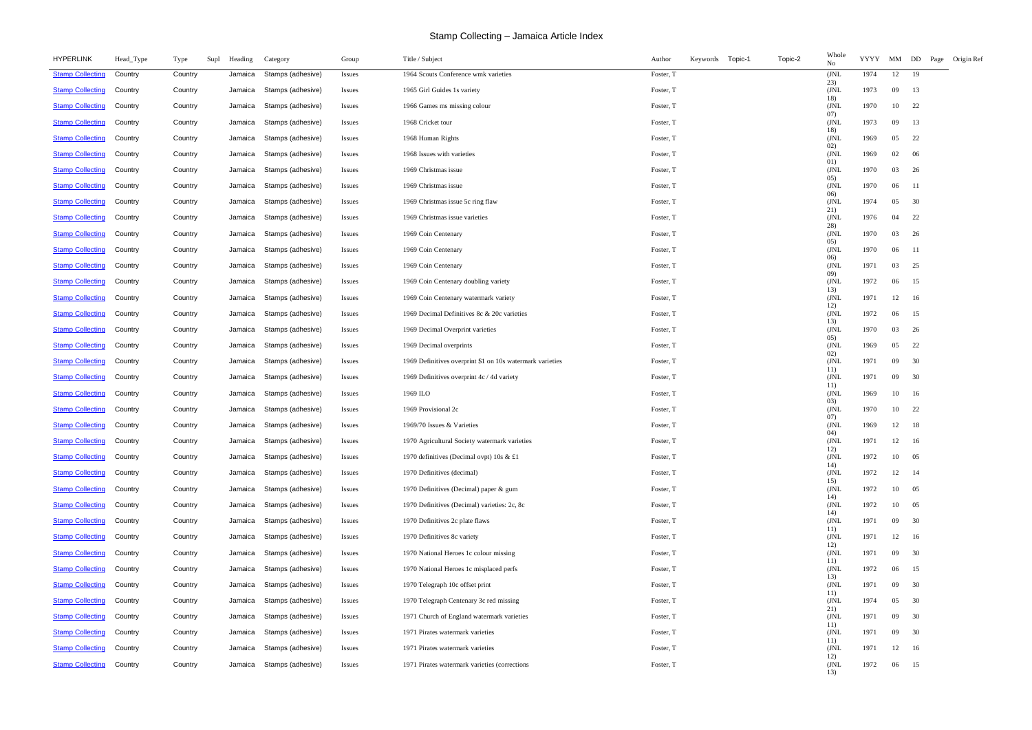| <b>HYPERLINK</b>                | Head_Type | Type<br>Supl | Heading | Category                  | Group         | Title / Subject                                           | Topic-2<br>Keywords Topic-1<br>Author | Whole<br>No  | YYYY |       | MM DD Page<br>Origin Ref |
|---------------------------------|-----------|--------------|---------|---------------------------|---------------|-----------------------------------------------------------|---------------------------------------|--------------|------|-------|--------------------------|
| <b>Stamp Collecting</b>         | Country   | Country      | Jamaica | Stamps (adhesive)         | <b>Issues</b> | 1964 Scouts Conference wmk varieties                      | Foster, T                             | (JNL<br>23)  | 1974 | 12    | 19                       |
| <b>Stamp Collecting</b>         | Country   | Country      | Jamaica | Stamps (adhesive)         | <b>Issues</b> | 1965 Girl Guides 1s variety                               | Foster, T                             | (JNL<br>18)  | 1973 | 09    | 13                       |
| <b>Stamp Collecting</b>         | Country   | Country      | Jamaica | Stamps (adhesive)         | <b>Issues</b> | 1966 Games ms missing colour                              | Foster, T                             | (JNL<br>07)  | 1970 | 10    | - 22                     |
| <b>Stamp Collecting</b>         | Country   | Country      | Jamaica | Stamps (adhesive)         | <i>Issues</i> | 1968 Cricket tour                                         | Foster, T                             | (JNL<br>18)  | 1973 | 09    | 13                       |
| <b>Stamp Collecting</b>         | Country   | Country      | Jamaica | Stamps (adhesive)         | <i>Issues</i> | 1968 Human Rights                                         | Foster, T                             | (JNL<br>02)  | 1969 | 05    | 22                       |
| <b>Stamp Collecting</b>         | Country   | Country      | Jamaica | Stamps (adhesive)         | <i>Issues</i> | 1968 Issues with varieties                                | Foster, T                             | (JNL<br>01)  | 1969 | 02    | - 06                     |
| <b>Stamp Collecting</b>         | Country   | Country      | Jamaica | Stamps (adhesive)         | <b>Issues</b> | 1969 Christmas issue                                      | Foster, T                             | (JNL<br>05)  | 1970 | 03    | -26                      |
| <b>Stamp Collecting</b>         | Country   | Country      | Jamaica | Stamps (adhesive)         | <i>Issues</i> | 1969 Christmas issue                                      | Foster, T                             | (JNL)<br>06) | 1970 | 06    | -11                      |
| <b>Stamp Collecting</b>         | Country   | Country      | Jamaica | Stamps (adhesive)         | <b>Issues</b> | 1969 Christmas issue 5c ring flaw                         | Foster, T                             | (JNL<br>21)  | 1974 | 05    | 30                       |
| <b>Stamp Collecting</b>         | Country   | Country      | Jamaica | Stamps (adhesive)         | <b>Issues</b> | 1969 Christmas issue varieties                            | Foster, T                             | (JNL<br>28)  | 1976 | 04    | 22                       |
| <b>Stamp Collecting</b>         | Country   | Country      | Jamaica | Stamps (adhesive)         | <b>Issues</b> | 1969 Coin Centenary                                       | Foster, T                             | (JNL<br>05)  | 1970 | 03    | 26                       |
| <b>Stamp Collecting</b>         | Country   | Country      | Jamaica | Stamps (adhesive)         | <i>Issues</i> | 1969 Coin Centenary                                       | Foster, T                             | (JNL<br>06)  | 1970 | 06    | -11                      |
| <b>Stamp Collecting</b>         | Country   | Country      | Jamaica | Stamps (adhesive)         | <b>Issues</b> | 1969 Coin Centenary                                       | Foster, T                             | (JNL<br>09)  | 1971 | 03    | 25                       |
| <b>Stamp Collecting</b>         | Country   | Country      | Jamaica | Stamps (adhesive)         | <b>Issues</b> | 1969 Coin Centenary doubling variety                      | Foster, T                             | (JNL<br>13)  | 1972 | 06    | 15                       |
| <b>Stamp Collecting</b>         | Country   | Country      | Jamaica | Stamps (adhesive)         | <i>Issues</i> | 1969 Coin Centenary watermark variety                     | Foster, T                             | (JNL<br>12)  | 1971 | 12    | 16                       |
| <b>Stamp Collecting</b>         | Country   | Country      | Jamaica | Stamps (adhesive)         | <b>Issues</b> | 1969 Decimal Definitives 8c & 20c varieties               | Foster, T                             | (JNL<br>13)  | 1972 | 06    | 15                       |
| <b>Stamp Collecting</b>         | Country   | Country      | Jamaica | Stamps (adhesive)         | <b>Issues</b> | 1969 Decimal Overprint varieties                          | Foster, T                             | (JNL<br>05)  | 1970 | 03    | -26                      |
| <b>Stamp Collecting</b>         | Country   | Country      | Jamaica | Stamps (adhesive)         | <b>Issues</b> | 1969 Decimal overprints                                   | Foster, T                             | (JNL<br>02)  | 1969 | 05    | 22                       |
| <b>Stamp Collecting</b>         | Country   | Country      | Jamaica | Stamps (adhesive)         | <i>Issues</i> | 1969 Definitives overprint \$1 on 10s watermark varieties | Foster, T                             | (JNL<br>11)  | 1971 | 09    | 30                       |
| <b>Stamp Collecting</b>         | Country   | Country      | Jamaica | Stamps (adhesive)         | <i>Issues</i> | 1969 Definitives overprint 4c / 4d variety                | Foster, T                             | (JNL<br>11)  | 1971 | 09    | 30                       |
| <b>Stamp Collecting</b>         | Country   | Country      | Jamaica | Stamps (adhesive)         | <i>Issues</i> | 1969 ILO                                                  | Foster, T                             | (JNL<br>03)  | 1969 | 10    | 16                       |
| <b>Stamp Collecting</b>         | Country   | Country      | Jamaica | Stamps (adhesive)         | <i>Issues</i> | 1969 Provisional 2c                                       | Foster, T                             | (JNL<br>07)  | 1970 | 10    | 22                       |
| <b>Stamp Collecting</b>         | Country   | Country      | Jamaica | Stamps (adhesive)         | <i>Issues</i> | 1969/70 Issues & Varieties                                | Foster, T                             | (JNL)<br>04) | 1969 | 12    | 18                       |
| <b>Stamp Collecting Country</b> |           | Country      |         | Jamaica Stamps (adhesive) | <b>Issues</b> | 1970 Agricultural Society watermark varieties             | Foster, T                             | (JNL<br>12)  | 1971 | 12 16 |                          |
| <b>Stamp Collecting</b>         | Country   | Country      | Jamaica | Stamps (adhesive)         | <b>Issues</b> | 1970 definitives (Decimal ovpt) 10s & £1                  | Foster, T                             | (JNL<br>14)  | 1972 | 10    | 05                       |
| <b>Stamp Collecting</b>         | Country   | Country      | Jamaica | Stamps (adhesive)         | <b>Issues</b> | 1970 Definitives (decimal)                                | Foster, T                             | JNL<br>15)   | 1972 | 12    | 14                       |
| <b>Stamp Collecting</b>         | Country   | Country      | Jamaica | Stamps (adhesive)         | Issues        | 1970 Definitives (Decimal) paper & gum                    | Foster, T                             | JNL<br>14)   | 1972 | 10    | 05                       |
| <b>Stamp Collecting</b>         | Country   | Country      | Jamaica | Stamps (adhesive)         | <b>Issues</b> | 1970 Definitives (Decimal) varieties: 2c, 8c              | Foster, T                             | (JNL<br>14)  | 1972 | 10    | 05                       |
| <b>Stamp Collecting</b>         | Country   | Country      | Jamaica | Stamps (adhesive)         | <b>Issues</b> | 1970 Definitives 2c plate flaws                           | Foster, T                             | (JNL<br>11)  | 1971 | 09    | 30                       |
| <b>Stamp Collecting</b>         | Country   | Country      | Jamaica | Stamps (adhesive)         | <b>Issues</b> | 1970 Definitives 8c variety                               | Foster, T                             | (JNL<br>12)  | 1971 | 12    | 16                       |
| <b>Stamp Collecting</b>         | Country   | Country      | Jamaica | Stamps (adhesive)         | <i>Issues</i> | 1970 National Heroes 1c colour missing                    | Foster, T                             | JNL<br>11)   | 1971 | 09    | 30                       |
| <b>Stamp Collecting</b>         | Country   | Country      | Jamaica | Stamps (adhesive)         | <b>Issues</b> | 1970 National Heroes 1c misplaced perfs                   | Foster, T                             | (JNL<br>13)  | 1972 | 06    | 15                       |
| <b>Stamp Collecting</b>         | Country   | Country      | Jamaica | Stamps (adhesive)         | <b>Issues</b> | 1970 Telegraph 10c offset print                           | Foster, T                             | (JNL<br>11)  | 1971 | 09    | 30                       |
| <b>Stamp Collecting</b>         | Country   | Country      | Jamaica | Stamps (adhesive)         | <b>Issues</b> | 1970 Telegraph Centenary 3c red missing                   | Foster, T                             | (JNL<br>21)  | 1974 | 05    | 30                       |
| <b>Stamp Collecting</b>         | Country   | Country      | Jamaica | Stamps (adhesive)         | <i>Issues</i> | 1971 Church of England watermark varieties                | Foster, T                             | (JNL<br>11)  | 1971 | 09    | 30                       |
| <b>Stamp Collecting</b>         | Country   | Country      | Jamaica | Stamps (adhesive)         | Issues        | 1971 Pirates watermark varieties                          | Foster, T                             | (JNL<br>11)  | 1971 | 09    | 30                       |
| <b>Stamp Collecting</b>         | Country   | Country      | Jamaica | Stamps (adhesive)         | <i>Issues</i> | 1971 Pirates watermark varieties                          | Foster, T                             | (JNL<br>12)  | 1971 | 12    | 16                       |
| <b>Stamp Collecting</b>         | Country   | Country      | Jamaica | Stamps (adhesive)         | <i>Issues</i> | 1971 Pirates watermark varieties (corrections)            | Foster, T                             | (JNL<br>13)  | 1972 | 06    | 15                       |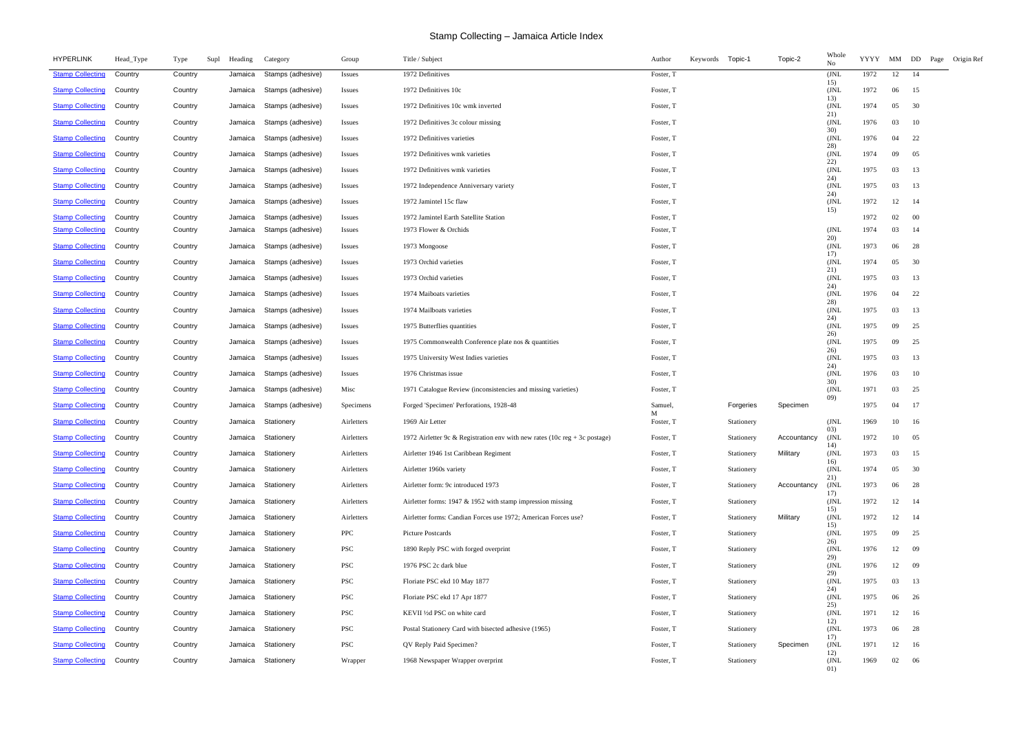| <b>Stamp Collecting</b><br>Stamps (adhesive)<br>1972 Definitives<br>1972<br>12<br>Country<br>Country<br>Jamaica<br>Foster, T<br>(JNL<br>-14<br><b>Issues</b><br>15)<br><b>Stamp Collecting</b><br>Stamps (adhesive)<br>Country<br>Country<br>1972 Definitives 10c<br>Foster, T<br>JNL<br>1972<br>06<br>15<br>Jamaica<br><i>Issues</i><br>13)<br><b>Stamp Collecting</b><br>(JNL<br>1974<br>Country<br>Stamps (adhesive)<br>1972 Definitives 10c wmk inverted<br>Foster, T<br>05<br>30<br>Country<br>Jamaica<br><i>Issues</i><br>21)<br>Foster, T<br>(JNL<br>1976<br><b>Stamp Collecting</b><br>Country<br>Stamps (adhesive)<br>1972 Definitives 3c colour missing<br>03<br>10<br>Country<br>Jamaica<br><b>Issues</b><br>30)<br><b>Stamp Collecting</b><br>Country<br>Stamps (adhesive)<br>1972 Definitives varieties<br>Foster, T<br>(JNL)<br>1976<br>04<br>22<br>Country<br>Jamaica<br><i>Issues</i><br>28)<br><b>Stamp Collecting</b><br>(JNL<br>Country<br>Stamps (adhesive)<br>1972 Definitives wmk varieties<br>Foster, T<br>1974<br>09<br>05<br>Country<br>Jamaica<br><i>Issues</i><br>22)<br><b>Stamp Collecting</b><br>(JNL<br>1975<br>Stamps (adhesive)<br>1972 Definitives wmk varieties<br>Foster, T<br>03<br>13<br>Country<br>Country<br>Jamaica<br><i>Issues</i><br>24)<br>1975<br><b>Stamp Collecting</b><br>Stamps (adhesive)<br>Foster, T<br>(JNL<br>03<br>13<br>Country<br>Country<br>1972 Independence Anniversary variety<br>Jamaica<br><b>Issues</b><br>24)<br><b>Stamp Collecting</b><br>Stamps (adhesive)<br>1972 Jamintel 15c flaw<br>Foster, T<br>(JNL)<br>1972<br>12<br>-14<br>Country<br>Country<br>Jamaica<br><i>Issues</i><br>15)<br>1972 Jamintel Earth Satellite Station<br>Foster, T<br>$00\,$<br><b>Stamp Collecting</b><br>Country<br>Country<br>Stamps (adhesive)<br>1972<br>02<br>Jamaica<br><i>Issues</i><br>1974<br><b>Stamp Collecting</b><br>Stamps (adhesive)<br>1973 Flower & Orchids<br>(JNL<br>03<br>14<br>Country<br>Country<br>Foster, T<br>Jamaica<br><i>Issues</i><br>20)<br><b>Stamp Collecting</b><br>Stamps (adhesive)<br>1973 Mongoose<br>Foster, T<br>(JNL)<br>1973<br>06<br>28<br>Country<br>Country<br>Jamaica<br><i>Issues</i><br>17)<br>1974<br><b>Stamp Collecting</b><br>Stamps (adhesive)<br>1973 Orchid varieties<br>Foster, T<br>JNL<br>05<br>30<br>Country<br>Country<br>Jamaica<br><b>Issues</b><br>21)<br>1973 Orchid varieties<br>(JNL<br>1975<br>03<br><b>Stamp Collecting</b><br>Country<br>Stamps (adhesive)<br>Foster, T<br>13<br>Country<br>Jamaica<br><b>Issues</b><br>24)<br><b>Stamp Collecting</b><br>(JNL<br>22<br>Country<br>Stamps (adhesive)<br>1974 Maiboats varieties<br>Foster, T<br>1976<br>04<br>Country<br>Jamaica<br><i>Issues</i><br>28)<br><b>Stamp Collecting</b><br>Stamps (adhesive)<br>Country<br>1974 Mailboats varieties<br>Foster, T<br>JNL<br>1975<br>03<br>13<br>Country<br>Jamaica<br><i>Issues</i><br>24)<br>(JNL<br>1975<br><b>Stamp Collecting</b><br>Country<br>Stamps (adhesive)<br>1975 Butterflies quantities<br>Foster, T<br>09<br>25<br>Country<br>Jamaica<br><i>Issues</i><br>26)<br>Foster, T<br>1975<br><b>Stamp Collecting</b><br>Stamps (adhesive)<br>1975 Commonwealth Conference plate nos & quantities<br>(JNL)<br>09<br>25<br>Country<br>Country<br>Jamaica<br><b>Issues</b><br>26)<br><b>Stamp Collecting</b><br>Stamps (adhesive)<br>1975 University West Indies varieties<br>Foster, T<br>(JNL)<br>1975<br>03<br>13<br>Country<br>Country<br>Jamaica<br><i>Issues</i><br>24)<br><b>Stamp Collecting</b><br>Country<br>Stamps (adhesive)<br>1976 Christmas issue<br>Foster, T<br>JNL<br>1976<br>03<br>10<br>Country<br>Jamaica<br><i>Issues</i><br>30)<br>1971<br><b>Stamp Collecting</b><br>Stamps (adhesive)<br>Misc<br>1971 Catalogue Review (inconsistencies and missing varieties)<br>Foster, T<br>JNL<br>03<br>25<br>Country<br>Country<br>Jamaica<br>(09)<br>17<br><b>Stamp Collecting</b><br>Stamps (adhesive)<br>Forged 'Specimen' Perforations, 1928-48<br>Samuel,<br>1975<br>Country<br>Country<br>Jamaica<br>Specimens<br>Forgeries<br>Specimen<br>04<br>М<br><b>Stamp Collecting</b><br>Country<br>Stationery<br>1969 Air Letter<br>Foster, T<br>(JNL)<br>1969<br>10<br>Country<br>Jamaica<br>Airletters<br>Stationery<br>16<br>03)<br><b>Stamp Collecting</b><br>Country<br>Country<br>Stationery<br>Foster, T<br>(JNL<br>1972<br>05<br>Jamaica<br>1972 Airletter 9c & Registration env with new rates (10c reg + 3c postage)<br>Stationery<br>Accountancy<br>10<br>Airletters<br>14)<br>Military<br>(JNL)<br><b>Stamp Collecting</b><br>Country<br>Stationery<br>Airletter 1946 1st Caribbean Regiment<br>1973<br>03<br>15<br>Country<br>Jamaica<br>Airletters<br>Foster, T<br>Stationery<br>16)<br><b>Stamp Collecting</b><br>Airletter 1960s variety<br>1974<br>Country<br>Country<br>Jamaica<br>Stationery<br>Airletters<br>Foster, T<br>Stationery<br>JNL<br>05<br>30<br>21)<br><b>Stamp Collecting</b><br>Airletter form: 9c introduced 1973<br>(JNL<br>1973<br>Country<br>Stationery<br>Airletters<br>Foster, T<br>Accountancy<br>06<br>28<br>Country<br>Jamaica<br>Stationery<br>17)<br><b>Stamp Collecting</b><br>Airletter forms: 1947 & 1952 with stamp impression missing<br>(JNL)<br>1972<br>Country<br>Jamaica<br>Stationery<br>Airletters<br>Foster, T<br>12<br>-14<br>Country<br>Stationery<br>15)<br><b>Stamp Collecting</b><br>Airletter forms: Candian Forces use 1972; American Forces use?<br>Military<br>(JNL<br>1972<br>Country<br>Country<br>Stationery<br>Airletters<br>Foster, T<br>12<br>-14<br>Jamaica<br>Stationery<br>15)<br><b>Stamp Collecting</b><br>PPC<br>1975<br>Country<br>Stationery<br>Picture Postcards<br>Foster, T<br>Stationery<br>(JNL<br>09<br>25<br>Country<br>Jamaica<br>26)<br><b>Stamp Collecting</b><br>PSC<br>(JNL<br>1976<br>- 09<br>Country<br>Country<br>Stationery<br>1890 Reply PSC with forged overprint<br>Foster, T<br>12<br>Jamaica<br>Stationery<br>29)<br><b>Stamp Collecting</b><br>PSC<br>Foster, T<br>(JNL<br>1976<br>09<br>Country<br>Stationery<br>1976 PSC 2c dark blue<br>12<br>Country<br>Jamaica<br>Stationery<br>29)<br>PSC<br>1975<br><b>Stamp Collecting</b><br>Country<br>Stationery<br>Floriate PSC ekd 10 May 1877<br>Foster, T<br>Stationery<br>(JNL)<br>03<br>13<br>Country<br>Jamaica<br>24)<br><b>Stamp Collecting</b><br>PSC<br>Floriate PSC ekd 17 Apr 1877<br>Foster, T<br>1975<br>Country<br>Country<br>Jamaica<br>Stationery<br>Stationery<br>(JNL)<br>06<br>26<br>25)<br><b>Stamp Collecting</b><br>PSC<br>Country<br>Country<br>Jamaica<br>Stationery<br>KEVII 1/2d PSC on white card<br>Foster, T<br>Stationery<br>JNL<br>1971<br>12<br>16<br>12)<br><b>Stamp Collecting</b><br>PSC<br>(JNL)<br>1973<br>Country<br>Country<br>Jamaica<br>Stationery<br>Postal Stationery Card with bisected adhesive (1965)<br>Foster, T<br>06<br>28<br>Stationery<br>17)<br><b>Stamp Collecting</b><br><b>PSC</b><br>Country<br>Country<br>Jamaica<br>Stationery<br>QV Reply Paid Specimen?<br>Foster, T<br>Specimen<br>(JNL<br>1971<br>12<br>16<br>Stationery<br>12)<br><b>Stamp Collecting</b><br>Country<br>Country<br>Stationery<br>1968 Newspaper Wrapper overprint<br>Foster, T<br>Stationery<br>(JNL<br>1969<br>02<br>06<br>Jamaica<br>Wrapper<br>01) | <b>HYPERLINK</b> | Head_Type | Type<br>Supl | Heading | Category | Group | Title / Subject | Author | Keywords | Topic-1 | Topic-2 | Whole<br>No | <b>YYYY</b> | MM DD Page Origin Ref |  |
|---------------------------------------------------------------------------------------------------------------------------------------------------------------------------------------------------------------------------------------------------------------------------------------------------------------------------------------------------------------------------------------------------------------------------------------------------------------------------------------------------------------------------------------------------------------------------------------------------------------------------------------------------------------------------------------------------------------------------------------------------------------------------------------------------------------------------------------------------------------------------------------------------------------------------------------------------------------------------------------------------------------------------------------------------------------------------------------------------------------------------------------------------------------------------------------------------------------------------------------------------------------------------------------------------------------------------------------------------------------------------------------------------------------------------------------------------------------------------------------------------------------------------------------------------------------------------------------------------------------------------------------------------------------------------------------------------------------------------------------------------------------------------------------------------------------------------------------------------------------------------------------------------------------------------------------------------------------------------------------------------------------------------------------------------------------------------------------------------------------------------------------------------------------------------------------------------------------------------------------------------------------------------------------------------------------------------------------------------------------------------------------------------------------------------------------------------------------------------------------------------------------------------------------------------------------------------------------------------------------------------------------------------------------------------------------------------------------------------------------------------------------------------------------------------------------------------------------------------------------------------------------------------------------------------------------------------------------------------------------------------------------------------------------------------------------------------------------------------------------------------------------------------------------------------------------------------------------------------------------------------------------------------------------------------------------------------------------------------------------------------------------------------------------------------------------------------------------------------------------------------------------------------------------------------------------------------------------------------------------------------------------------------------------------------------------------------------------------------------------------------------------------------------------------------------------------------------------------------------------------------------------------------------------------------------------------------------------------------------------------------------------------------------------------------------------------------------------------------------------------------------------------------------------------------------------------------------------------------------------------------------------------------------------------------------------------------------------------------------------------------------------------------------------------------------------------------------------------------------------------------------------------------------------------------------------------------------------------------------------------------------------------------------------------------------------------------------------------------------------------------------------------------------------------------------------------------------------------------------------------------------------------------------------------------------------------------------------------------------------------------------------------------------------------------------------------------------------------------------------------------------------------------------------------------------------------------------------------------------------------------------------------------------------------------------------------------------------------------------------------------------------------------------------------------------------------------------------------------------------------------------------------------------------------------------------------------------------------------------------------------------------------------------------------------------------------------------------------------------------------------------------------------------------------------------------------------------------------------------------------------------------------------------------------------------------------------------------------------------------------------------------------------------------------------------------------------------------------------------------------------------------------------------------------------------------------------------------------------------------------------------------------------------------------------------------------------------------------------------------------------------------------------------------------------------------------------------------------------------------------------------------------------------------------------------------------------------------------------------------------------------------------------------------------------------------------------------------------------------------------------------------------------------------------------------------------------------------------------------------------------------------------------------------------------------------------------------------------------------------------------------------------------------------------------------------------------------------------------------------------------------------------------------------------------------------------------------------------------------------------------------------------------|------------------|-----------|--------------|---------|----------|-------|-----------------|--------|----------|---------|---------|-------------|-------------|-----------------------|--|
|                                                                                                                                                                                                                                                                                                                                                                                                                                                                                                                                                                                                                                                                                                                                                                                                                                                                                                                                                                                                                                                                                                                                                                                                                                                                                                                                                                                                                                                                                                                                                                                                                                                                                                                                                                                                                                                                                                                                                                                                                                                                                                                                                                                                                                                                                                                                                                                                                                                                                                                                                                                                                                                                                                                                                                                                                                                                                                                                                                                                                                                                                                                                                                                                                                                                                                                                                                                                                                                                                                                                                                                                                                                                                                                                                                                                                                                                                                                                                                                                                                                                                                                                                                                                                                                                                                                                                                                                                                                                                                                                                                                                                                                                                                                                                                                                                                                                                                                                                                                                                                                                                                                                                                                                                                                                                                                                                                                                                                                                                                                                                                                                                                                                                                                                                                                                                                                                                                                                                                                                                                                                                                                                                                                                                                                                                                                                                                                                                                                                                                                                                                                                                                                                                                                                                                                                                                                                                                                                                                                                                                                                                                                                                                                                                                                                           |                  |           |              |         |          |       |                 |        |          |         |         |             |             |                       |  |
|                                                                                                                                                                                                                                                                                                                                                                                                                                                                                                                                                                                                                                                                                                                                                                                                                                                                                                                                                                                                                                                                                                                                                                                                                                                                                                                                                                                                                                                                                                                                                                                                                                                                                                                                                                                                                                                                                                                                                                                                                                                                                                                                                                                                                                                                                                                                                                                                                                                                                                                                                                                                                                                                                                                                                                                                                                                                                                                                                                                                                                                                                                                                                                                                                                                                                                                                                                                                                                                                                                                                                                                                                                                                                                                                                                                                                                                                                                                                                                                                                                                                                                                                                                                                                                                                                                                                                                                                                                                                                                                                                                                                                                                                                                                                                                                                                                                                                                                                                                                                                                                                                                                                                                                                                                                                                                                                                                                                                                                                                                                                                                                                                                                                                                                                                                                                                                                                                                                                                                                                                                                                                                                                                                                                                                                                                                                                                                                                                                                                                                                                                                                                                                                                                                                                                                                                                                                                                                                                                                                                                                                                                                                                                                                                                                                                           |                  |           |              |         |          |       |                 |        |          |         |         |             |             |                       |  |
|                                                                                                                                                                                                                                                                                                                                                                                                                                                                                                                                                                                                                                                                                                                                                                                                                                                                                                                                                                                                                                                                                                                                                                                                                                                                                                                                                                                                                                                                                                                                                                                                                                                                                                                                                                                                                                                                                                                                                                                                                                                                                                                                                                                                                                                                                                                                                                                                                                                                                                                                                                                                                                                                                                                                                                                                                                                                                                                                                                                                                                                                                                                                                                                                                                                                                                                                                                                                                                                                                                                                                                                                                                                                                                                                                                                                                                                                                                                                                                                                                                                                                                                                                                                                                                                                                                                                                                                                                                                                                                                                                                                                                                                                                                                                                                                                                                                                                                                                                                                                                                                                                                                                                                                                                                                                                                                                                                                                                                                                                                                                                                                                                                                                                                                                                                                                                                                                                                                                                                                                                                                                                                                                                                                                                                                                                                                                                                                                                                                                                                                                                                                                                                                                                                                                                                                                                                                                                                                                                                                                                                                                                                                                                                                                                                                                           |                  |           |              |         |          |       |                 |        |          |         |         |             |             |                       |  |
|                                                                                                                                                                                                                                                                                                                                                                                                                                                                                                                                                                                                                                                                                                                                                                                                                                                                                                                                                                                                                                                                                                                                                                                                                                                                                                                                                                                                                                                                                                                                                                                                                                                                                                                                                                                                                                                                                                                                                                                                                                                                                                                                                                                                                                                                                                                                                                                                                                                                                                                                                                                                                                                                                                                                                                                                                                                                                                                                                                                                                                                                                                                                                                                                                                                                                                                                                                                                                                                                                                                                                                                                                                                                                                                                                                                                                                                                                                                                                                                                                                                                                                                                                                                                                                                                                                                                                                                                                                                                                                                                                                                                                                                                                                                                                                                                                                                                                                                                                                                                                                                                                                                                                                                                                                                                                                                                                                                                                                                                                                                                                                                                                                                                                                                                                                                                                                                                                                                                                                                                                                                                                                                                                                                                                                                                                                                                                                                                                                                                                                                                                                                                                                                                                                                                                                                                                                                                                                                                                                                                                                                                                                                                                                                                                                                                           |                  |           |              |         |          |       |                 |        |          |         |         |             |             |                       |  |
|                                                                                                                                                                                                                                                                                                                                                                                                                                                                                                                                                                                                                                                                                                                                                                                                                                                                                                                                                                                                                                                                                                                                                                                                                                                                                                                                                                                                                                                                                                                                                                                                                                                                                                                                                                                                                                                                                                                                                                                                                                                                                                                                                                                                                                                                                                                                                                                                                                                                                                                                                                                                                                                                                                                                                                                                                                                                                                                                                                                                                                                                                                                                                                                                                                                                                                                                                                                                                                                                                                                                                                                                                                                                                                                                                                                                                                                                                                                                                                                                                                                                                                                                                                                                                                                                                                                                                                                                                                                                                                                                                                                                                                                                                                                                                                                                                                                                                                                                                                                                                                                                                                                                                                                                                                                                                                                                                                                                                                                                                                                                                                                                                                                                                                                                                                                                                                                                                                                                                                                                                                                                                                                                                                                                                                                                                                                                                                                                                                                                                                                                                                                                                                                                                                                                                                                                                                                                                                                                                                                                                                                                                                                                                                                                                                                                           |                  |           |              |         |          |       |                 |        |          |         |         |             |             |                       |  |
|                                                                                                                                                                                                                                                                                                                                                                                                                                                                                                                                                                                                                                                                                                                                                                                                                                                                                                                                                                                                                                                                                                                                                                                                                                                                                                                                                                                                                                                                                                                                                                                                                                                                                                                                                                                                                                                                                                                                                                                                                                                                                                                                                                                                                                                                                                                                                                                                                                                                                                                                                                                                                                                                                                                                                                                                                                                                                                                                                                                                                                                                                                                                                                                                                                                                                                                                                                                                                                                                                                                                                                                                                                                                                                                                                                                                                                                                                                                                                                                                                                                                                                                                                                                                                                                                                                                                                                                                                                                                                                                                                                                                                                                                                                                                                                                                                                                                                                                                                                                                                                                                                                                                                                                                                                                                                                                                                                                                                                                                                                                                                                                                                                                                                                                                                                                                                                                                                                                                                                                                                                                                                                                                                                                                                                                                                                                                                                                                                                                                                                                                                                                                                                                                                                                                                                                                                                                                                                                                                                                                                                                                                                                                                                                                                                                                           |                  |           |              |         |          |       |                 |        |          |         |         |             |             |                       |  |
|                                                                                                                                                                                                                                                                                                                                                                                                                                                                                                                                                                                                                                                                                                                                                                                                                                                                                                                                                                                                                                                                                                                                                                                                                                                                                                                                                                                                                                                                                                                                                                                                                                                                                                                                                                                                                                                                                                                                                                                                                                                                                                                                                                                                                                                                                                                                                                                                                                                                                                                                                                                                                                                                                                                                                                                                                                                                                                                                                                                                                                                                                                                                                                                                                                                                                                                                                                                                                                                                                                                                                                                                                                                                                                                                                                                                                                                                                                                                                                                                                                                                                                                                                                                                                                                                                                                                                                                                                                                                                                                                                                                                                                                                                                                                                                                                                                                                                                                                                                                                                                                                                                                                                                                                                                                                                                                                                                                                                                                                                                                                                                                                                                                                                                                                                                                                                                                                                                                                                                                                                                                                                                                                                                                                                                                                                                                                                                                                                                                                                                                                                                                                                                                                                                                                                                                                                                                                                                                                                                                                                                                                                                                                                                                                                                                                           |                  |           |              |         |          |       |                 |        |          |         |         |             |             |                       |  |
|                                                                                                                                                                                                                                                                                                                                                                                                                                                                                                                                                                                                                                                                                                                                                                                                                                                                                                                                                                                                                                                                                                                                                                                                                                                                                                                                                                                                                                                                                                                                                                                                                                                                                                                                                                                                                                                                                                                                                                                                                                                                                                                                                                                                                                                                                                                                                                                                                                                                                                                                                                                                                                                                                                                                                                                                                                                                                                                                                                                                                                                                                                                                                                                                                                                                                                                                                                                                                                                                                                                                                                                                                                                                                                                                                                                                                                                                                                                                                                                                                                                                                                                                                                                                                                                                                                                                                                                                                                                                                                                                                                                                                                                                                                                                                                                                                                                                                                                                                                                                                                                                                                                                                                                                                                                                                                                                                                                                                                                                                                                                                                                                                                                                                                                                                                                                                                                                                                                                                                                                                                                                                                                                                                                                                                                                                                                                                                                                                                                                                                                                                                                                                                                                                                                                                                                                                                                                                                                                                                                                                                                                                                                                                                                                                                                                           |                  |           |              |         |          |       |                 |        |          |         |         |             |             |                       |  |
|                                                                                                                                                                                                                                                                                                                                                                                                                                                                                                                                                                                                                                                                                                                                                                                                                                                                                                                                                                                                                                                                                                                                                                                                                                                                                                                                                                                                                                                                                                                                                                                                                                                                                                                                                                                                                                                                                                                                                                                                                                                                                                                                                                                                                                                                                                                                                                                                                                                                                                                                                                                                                                                                                                                                                                                                                                                                                                                                                                                                                                                                                                                                                                                                                                                                                                                                                                                                                                                                                                                                                                                                                                                                                                                                                                                                                                                                                                                                                                                                                                                                                                                                                                                                                                                                                                                                                                                                                                                                                                                                                                                                                                                                                                                                                                                                                                                                                                                                                                                                                                                                                                                                                                                                                                                                                                                                                                                                                                                                                                                                                                                                                                                                                                                                                                                                                                                                                                                                                                                                                                                                                                                                                                                                                                                                                                                                                                                                                                                                                                                                                                                                                                                                                                                                                                                                                                                                                                                                                                                                                                                                                                                                                                                                                                                                           |                  |           |              |         |          |       |                 |        |          |         |         |             |             |                       |  |
|                                                                                                                                                                                                                                                                                                                                                                                                                                                                                                                                                                                                                                                                                                                                                                                                                                                                                                                                                                                                                                                                                                                                                                                                                                                                                                                                                                                                                                                                                                                                                                                                                                                                                                                                                                                                                                                                                                                                                                                                                                                                                                                                                                                                                                                                                                                                                                                                                                                                                                                                                                                                                                                                                                                                                                                                                                                                                                                                                                                                                                                                                                                                                                                                                                                                                                                                                                                                                                                                                                                                                                                                                                                                                                                                                                                                                                                                                                                                                                                                                                                                                                                                                                                                                                                                                                                                                                                                                                                                                                                                                                                                                                                                                                                                                                                                                                                                                                                                                                                                                                                                                                                                                                                                                                                                                                                                                                                                                                                                                                                                                                                                                                                                                                                                                                                                                                                                                                                                                                                                                                                                                                                                                                                                                                                                                                                                                                                                                                                                                                                                                                                                                                                                                                                                                                                                                                                                                                                                                                                                                                                                                                                                                                                                                                                                           |                  |           |              |         |          |       |                 |        |          |         |         |             |             |                       |  |
|                                                                                                                                                                                                                                                                                                                                                                                                                                                                                                                                                                                                                                                                                                                                                                                                                                                                                                                                                                                                                                                                                                                                                                                                                                                                                                                                                                                                                                                                                                                                                                                                                                                                                                                                                                                                                                                                                                                                                                                                                                                                                                                                                                                                                                                                                                                                                                                                                                                                                                                                                                                                                                                                                                                                                                                                                                                                                                                                                                                                                                                                                                                                                                                                                                                                                                                                                                                                                                                                                                                                                                                                                                                                                                                                                                                                                                                                                                                                                                                                                                                                                                                                                                                                                                                                                                                                                                                                                                                                                                                                                                                                                                                                                                                                                                                                                                                                                                                                                                                                                                                                                                                                                                                                                                                                                                                                                                                                                                                                                                                                                                                                                                                                                                                                                                                                                                                                                                                                                                                                                                                                                                                                                                                                                                                                                                                                                                                                                                                                                                                                                                                                                                                                                                                                                                                                                                                                                                                                                                                                                                                                                                                                                                                                                                                                           |                  |           |              |         |          |       |                 |        |          |         |         |             |             |                       |  |
|                                                                                                                                                                                                                                                                                                                                                                                                                                                                                                                                                                                                                                                                                                                                                                                                                                                                                                                                                                                                                                                                                                                                                                                                                                                                                                                                                                                                                                                                                                                                                                                                                                                                                                                                                                                                                                                                                                                                                                                                                                                                                                                                                                                                                                                                                                                                                                                                                                                                                                                                                                                                                                                                                                                                                                                                                                                                                                                                                                                                                                                                                                                                                                                                                                                                                                                                                                                                                                                                                                                                                                                                                                                                                                                                                                                                                                                                                                                                                                                                                                                                                                                                                                                                                                                                                                                                                                                                                                                                                                                                                                                                                                                                                                                                                                                                                                                                                                                                                                                                                                                                                                                                                                                                                                                                                                                                                                                                                                                                                                                                                                                                                                                                                                                                                                                                                                                                                                                                                                                                                                                                                                                                                                                                                                                                                                                                                                                                                                                                                                                                                                                                                                                                                                                                                                                                                                                                                                                                                                                                                                                                                                                                                                                                                                                                           |                  |           |              |         |          |       |                 |        |          |         |         |             |             |                       |  |
|                                                                                                                                                                                                                                                                                                                                                                                                                                                                                                                                                                                                                                                                                                                                                                                                                                                                                                                                                                                                                                                                                                                                                                                                                                                                                                                                                                                                                                                                                                                                                                                                                                                                                                                                                                                                                                                                                                                                                                                                                                                                                                                                                                                                                                                                                                                                                                                                                                                                                                                                                                                                                                                                                                                                                                                                                                                                                                                                                                                                                                                                                                                                                                                                                                                                                                                                                                                                                                                                                                                                                                                                                                                                                                                                                                                                                                                                                                                                                                                                                                                                                                                                                                                                                                                                                                                                                                                                                                                                                                                                                                                                                                                                                                                                                                                                                                                                                                                                                                                                                                                                                                                                                                                                                                                                                                                                                                                                                                                                                                                                                                                                                                                                                                                                                                                                                                                                                                                                                                                                                                                                                                                                                                                                                                                                                                                                                                                                                                                                                                                                                                                                                                                                                                                                                                                                                                                                                                                                                                                                                                                                                                                                                                                                                                                                           |                  |           |              |         |          |       |                 |        |          |         |         |             |             |                       |  |
|                                                                                                                                                                                                                                                                                                                                                                                                                                                                                                                                                                                                                                                                                                                                                                                                                                                                                                                                                                                                                                                                                                                                                                                                                                                                                                                                                                                                                                                                                                                                                                                                                                                                                                                                                                                                                                                                                                                                                                                                                                                                                                                                                                                                                                                                                                                                                                                                                                                                                                                                                                                                                                                                                                                                                                                                                                                                                                                                                                                                                                                                                                                                                                                                                                                                                                                                                                                                                                                                                                                                                                                                                                                                                                                                                                                                                                                                                                                                                                                                                                                                                                                                                                                                                                                                                                                                                                                                                                                                                                                                                                                                                                                                                                                                                                                                                                                                                                                                                                                                                                                                                                                                                                                                                                                                                                                                                                                                                                                                                                                                                                                                                                                                                                                                                                                                                                                                                                                                                                                                                                                                                                                                                                                                                                                                                                                                                                                                                                                                                                                                                                                                                                                                                                                                                                                                                                                                                                                                                                                                                                                                                                                                                                                                                                                                           |                  |           |              |         |          |       |                 |        |          |         |         |             |             |                       |  |
|                                                                                                                                                                                                                                                                                                                                                                                                                                                                                                                                                                                                                                                                                                                                                                                                                                                                                                                                                                                                                                                                                                                                                                                                                                                                                                                                                                                                                                                                                                                                                                                                                                                                                                                                                                                                                                                                                                                                                                                                                                                                                                                                                                                                                                                                                                                                                                                                                                                                                                                                                                                                                                                                                                                                                                                                                                                                                                                                                                                                                                                                                                                                                                                                                                                                                                                                                                                                                                                                                                                                                                                                                                                                                                                                                                                                                                                                                                                                                                                                                                                                                                                                                                                                                                                                                                                                                                                                                                                                                                                                                                                                                                                                                                                                                                                                                                                                                                                                                                                                                                                                                                                                                                                                                                                                                                                                                                                                                                                                                                                                                                                                                                                                                                                                                                                                                                                                                                                                                                                                                                                                                                                                                                                                                                                                                                                                                                                                                                                                                                                                                                                                                                                                                                                                                                                                                                                                                                                                                                                                                                                                                                                                                                                                                                                                           |                  |           |              |         |          |       |                 |        |          |         |         |             |             |                       |  |
|                                                                                                                                                                                                                                                                                                                                                                                                                                                                                                                                                                                                                                                                                                                                                                                                                                                                                                                                                                                                                                                                                                                                                                                                                                                                                                                                                                                                                                                                                                                                                                                                                                                                                                                                                                                                                                                                                                                                                                                                                                                                                                                                                                                                                                                                                                                                                                                                                                                                                                                                                                                                                                                                                                                                                                                                                                                                                                                                                                                                                                                                                                                                                                                                                                                                                                                                                                                                                                                                                                                                                                                                                                                                                                                                                                                                                                                                                                                                                                                                                                                                                                                                                                                                                                                                                                                                                                                                                                                                                                                                                                                                                                                                                                                                                                                                                                                                                                                                                                                                                                                                                                                                                                                                                                                                                                                                                                                                                                                                                                                                                                                                                                                                                                                                                                                                                                                                                                                                                                                                                                                                                                                                                                                                                                                                                                                                                                                                                                                                                                                                                                                                                                                                                                                                                                                                                                                                                                                                                                                                                                                                                                                                                                                                                                                                           |                  |           |              |         |          |       |                 |        |          |         |         |             |             |                       |  |
|                                                                                                                                                                                                                                                                                                                                                                                                                                                                                                                                                                                                                                                                                                                                                                                                                                                                                                                                                                                                                                                                                                                                                                                                                                                                                                                                                                                                                                                                                                                                                                                                                                                                                                                                                                                                                                                                                                                                                                                                                                                                                                                                                                                                                                                                                                                                                                                                                                                                                                                                                                                                                                                                                                                                                                                                                                                                                                                                                                                                                                                                                                                                                                                                                                                                                                                                                                                                                                                                                                                                                                                                                                                                                                                                                                                                                                                                                                                                                                                                                                                                                                                                                                                                                                                                                                                                                                                                                                                                                                                                                                                                                                                                                                                                                                                                                                                                                                                                                                                                                                                                                                                                                                                                                                                                                                                                                                                                                                                                                                                                                                                                                                                                                                                                                                                                                                                                                                                                                                                                                                                                                                                                                                                                                                                                                                                                                                                                                                                                                                                                                                                                                                                                                                                                                                                                                                                                                                                                                                                                                                                                                                                                                                                                                                                                           |                  |           |              |         |          |       |                 |        |          |         |         |             |             |                       |  |
|                                                                                                                                                                                                                                                                                                                                                                                                                                                                                                                                                                                                                                                                                                                                                                                                                                                                                                                                                                                                                                                                                                                                                                                                                                                                                                                                                                                                                                                                                                                                                                                                                                                                                                                                                                                                                                                                                                                                                                                                                                                                                                                                                                                                                                                                                                                                                                                                                                                                                                                                                                                                                                                                                                                                                                                                                                                                                                                                                                                                                                                                                                                                                                                                                                                                                                                                                                                                                                                                                                                                                                                                                                                                                                                                                                                                                                                                                                                                                                                                                                                                                                                                                                                                                                                                                                                                                                                                                                                                                                                                                                                                                                                                                                                                                                                                                                                                                                                                                                                                                                                                                                                                                                                                                                                                                                                                                                                                                                                                                                                                                                                                                                                                                                                                                                                                                                                                                                                                                                                                                                                                                                                                                                                                                                                                                                                                                                                                                                                                                                                                                                                                                                                                                                                                                                                                                                                                                                                                                                                                                                                                                                                                                                                                                                                                           |                  |           |              |         |          |       |                 |        |          |         |         |             |             |                       |  |
|                                                                                                                                                                                                                                                                                                                                                                                                                                                                                                                                                                                                                                                                                                                                                                                                                                                                                                                                                                                                                                                                                                                                                                                                                                                                                                                                                                                                                                                                                                                                                                                                                                                                                                                                                                                                                                                                                                                                                                                                                                                                                                                                                                                                                                                                                                                                                                                                                                                                                                                                                                                                                                                                                                                                                                                                                                                                                                                                                                                                                                                                                                                                                                                                                                                                                                                                                                                                                                                                                                                                                                                                                                                                                                                                                                                                                                                                                                                                                                                                                                                                                                                                                                                                                                                                                                                                                                                                                                                                                                                                                                                                                                                                                                                                                                                                                                                                                                                                                                                                                                                                                                                                                                                                                                                                                                                                                                                                                                                                                                                                                                                                                                                                                                                                                                                                                                                                                                                                                                                                                                                                                                                                                                                                                                                                                                                                                                                                                                                                                                                                                                                                                                                                                                                                                                                                                                                                                                                                                                                                                                                                                                                                                                                                                                                                           |                  |           |              |         |          |       |                 |        |          |         |         |             |             |                       |  |
|                                                                                                                                                                                                                                                                                                                                                                                                                                                                                                                                                                                                                                                                                                                                                                                                                                                                                                                                                                                                                                                                                                                                                                                                                                                                                                                                                                                                                                                                                                                                                                                                                                                                                                                                                                                                                                                                                                                                                                                                                                                                                                                                                                                                                                                                                                                                                                                                                                                                                                                                                                                                                                                                                                                                                                                                                                                                                                                                                                                                                                                                                                                                                                                                                                                                                                                                                                                                                                                                                                                                                                                                                                                                                                                                                                                                                                                                                                                                                                                                                                                                                                                                                                                                                                                                                                                                                                                                                                                                                                                                                                                                                                                                                                                                                                                                                                                                                                                                                                                                                                                                                                                                                                                                                                                                                                                                                                                                                                                                                                                                                                                                                                                                                                                                                                                                                                                                                                                                                                                                                                                                                                                                                                                                                                                                                                                                                                                                                                                                                                                                                                                                                                                                                                                                                                                                                                                                                                                                                                                                                                                                                                                                                                                                                                                                           |                  |           |              |         |          |       |                 |        |          |         |         |             |             |                       |  |
|                                                                                                                                                                                                                                                                                                                                                                                                                                                                                                                                                                                                                                                                                                                                                                                                                                                                                                                                                                                                                                                                                                                                                                                                                                                                                                                                                                                                                                                                                                                                                                                                                                                                                                                                                                                                                                                                                                                                                                                                                                                                                                                                                                                                                                                                                                                                                                                                                                                                                                                                                                                                                                                                                                                                                                                                                                                                                                                                                                                                                                                                                                                                                                                                                                                                                                                                                                                                                                                                                                                                                                                                                                                                                                                                                                                                                                                                                                                                                                                                                                                                                                                                                                                                                                                                                                                                                                                                                                                                                                                                                                                                                                                                                                                                                                                                                                                                                                                                                                                                                                                                                                                                                                                                                                                                                                                                                                                                                                                                                                                                                                                                                                                                                                                                                                                                                                                                                                                                                                                                                                                                                                                                                                                                                                                                                                                                                                                                                                                                                                                                                                                                                                                                                                                                                                                                                                                                                                                                                                                                                                                                                                                                                                                                                                                                           |                  |           |              |         |          |       |                 |        |          |         |         |             |             |                       |  |
|                                                                                                                                                                                                                                                                                                                                                                                                                                                                                                                                                                                                                                                                                                                                                                                                                                                                                                                                                                                                                                                                                                                                                                                                                                                                                                                                                                                                                                                                                                                                                                                                                                                                                                                                                                                                                                                                                                                                                                                                                                                                                                                                                                                                                                                                                                                                                                                                                                                                                                                                                                                                                                                                                                                                                                                                                                                                                                                                                                                                                                                                                                                                                                                                                                                                                                                                                                                                                                                                                                                                                                                                                                                                                                                                                                                                                                                                                                                                                                                                                                                                                                                                                                                                                                                                                                                                                                                                                                                                                                                                                                                                                                                                                                                                                                                                                                                                                                                                                                                                                                                                                                                                                                                                                                                                                                                                                                                                                                                                                                                                                                                                                                                                                                                                                                                                                                                                                                                                                                                                                                                                                                                                                                                                                                                                                                                                                                                                                                                                                                                                                                                                                                                                                                                                                                                                                                                                                                                                                                                                                                                                                                                                                                                                                                                                           |                  |           |              |         |          |       |                 |        |          |         |         |             |             |                       |  |
|                                                                                                                                                                                                                                                                                                                                                                                                                                                                                                                                                                                                                                                                                                                                                                                                                                                                                                                                                                                                                                                                                                                                                                                                                                                                                                                                                                                                                                                                                                                                                                                                                                                                                                                                                                                                                                                                                                                                                                                                                                                                                                                                                                                                                                                                                                                                                                                                                                                                                                                                                                                                                                                                                                                                                                                                                                                                                                                                                                                                                                                                                                                                                                                                                                                                                                                                                                                                                                                                                                                                                                                                                                                                                                                                                                                                                                                                                                                                                                                                                                                                                                                                                                                                                                                                                                                                                                                                                                                                                                                                                                                                                                                                                                                                                                                                                                                                                                                                                                                                                                                                                                                                                                                                                                                                                                                                                                                                                                                                                                                                                                                                                                                                                                                                                                                                                                                                                                                                                                                                                                                                                                                                                                                                                                                                                                                                                                                                                                                                                                                                                                                                                                                                                                                                                                                                                                                                                                                                                                                                                                                                                                                                                                                                                                                                           |                  |           |              |         |          |       |                 |        |          |         |         |             |             |                       |  |
|                                                                                                                                                                                                                                                                                                                                                                                                                                                                                                                                                                                                                                                                                                                                                                                                                                                                                                                                                                                                                                                                                                                                                                                                                                                                                                                                                                                                                                                                                                                                                                                                                                                                                                                                                                                                                                                                                                                                                                                                                                                                                                                                                                                                                                                                                                                                                                                                                                                                                                                                                                                                                                                                                                                                                                                                                                                                                                                                                                                                                                                                                                                                                                                                                                                                                                                                                                                                                                                                                                                                                                                                                                                                                                                                                                                                                                                                                                                                                                                                                                                                                                                                                                                                                                                                                                                                                                                                                                                                                                                                                                                                                                                                                                                                                                                                                                                                                                                                                                                                                                                                                                                                                                                                                                                                                                                                                                                                                                                                                                                                                                                                                                                                                                                                                                                                                                                                                                                                                                                                                                                                                                                                                                                                                                                                                                                                                                                                                                                                                                                                                                                                                                                                                                                                                                                                                                                                                                                                                                                                                                                                                                                                                                                                                                                                           |                  |           |              |         |          |       |                 |        |          |         |         |             |             |                       |  |
|                                                                                                                                                                                                                                                                                                                                                                                                                                                                                                                                                                                                                                                                                                                                                                                                                                                                                                                                                                                                                                                                                                                                                                                                                                                                                                                                                                                                                                                                                                                                                                                                                                                                                                                                                                                                                                                                                                                                                                                                                                                                                                                                                                                                                                                                                                                                                                                                                                                                                                                                                                                                                                                                                                                                                                                                                                                                                                                                                                                                                                                                                                                                                                                                                                                                                                                                                                                                                                                                                                                                                                                                                                                                                                                                                                                                                                                                                                                                                                                                                                                                                                                                                                                                                                                                                                                                                                                                                                                                                                                                                                                                                                                                                                                                                                                                                                                                                                                                                                                                                                                                                                                                                                                                                                                                                                                                                                                                                                                                                                                                                                                                                                                                                                                                                                                                                                                                                                                                                                                                                                                                                                                                                                                                                                                                                                                                                                                                                                                                                                                                                                                                                                                                                                                                                                                                                                                                                                                                                                                                                                                                                                                                                                                                                                                                           |                  |           |              |         |          |       |                 |        |          |         |         |             |             |                       |  |
|                                                                                                                                                                                                                                                                                                                                                                                                                                                                                                                                                                                                                                                                                                                                                                                                                                                                                                                                                                                                                                                                                                                                                                                                                                                                                                                                                                                                                                                                                                                                                                                                                                                                                                                                                                                                                                                                                                                                                                                                                                                                                                                                                                                                                                                                                                                                                                                                                                                                                                                                                                                                                                                                                                                                                                                                                                                                                                                                                                                                                                                                                                                                                                                                                                                                                                                                                                                                                                                                                                                                                                                                                                                                                                                                                                                                                                                                                                                                                                                                                                                                                                                                                                                                                                                                                                                                                                                                                                                                                                                                                                                                                                                                                                                                                                                                                                                                                                                                                                                                                                                                                                                                                                                                                                                                                                                                                                                                                                                                                                                                                                                                                                                                                                                                                                                                                                                                                                                                                                                                                                                                                                                                                                                                                                                                                                                                                                                                                                                                                                                                                                                                                                                                                                                                                                                                                                                                                                                                                                                                                                                                                                                                                                                                                                                                           |                  |           |              |         |          |       |                 |        |          |         |         |             |             |                       |  |
|                                                                                                                                                                                                                                                                                                                                                                                                                                                                                                                                                                                                                                                                                                                                                                                                                                                                                                                                                                                                                                                                                                                                                                                                                                                                                                                                                                                                                                                                                                                                                                                                                                                                                                                                                                                                                                                                                                                                                                                                                                                                                                                                                                                                                                                                                                                                                                                                                                                                                                                                                                                                                                                                                                                                                                                                                                                                                                                                                                                                                                                                                                                                                                                                                                                                                                                                                                                                                                                                                                                                                                                                                                                                                                                                                                                                                                                                                                                                                                                                                                                                                                                                                                                                                                                                                                                                                                                                                                                                                                                                                                                                                                                                                                                                                                                                                                                                                                                                                                                                                                                                                                                                                                                                                                                                                                                                                                                                                                                                                                                                                                                                                                                                                                                                                                                                                                                                                                                                                                                                                                                                                                                                                                                                                                                                                                                                                                                                                                                                                                                                                                                                                                                                                                                                                                                                                                                                                                                                                                                                                                                                                                                                                                                                                                                                           |                  |           |              |         |          |       |                 |        |          |         |         |             |             |                       |  |
|                                                                                                                                                                                                                                                                                                                                                                                                                                                                                                                                                                                                                                                                                                                                                                                                                                                                                                                                                                                                                                                                                                                                                                                                                                                                                                                                                                                                                                                                                                                                                                                                                                                                                                                                                                                                                                                                                                                                                                                                                                                                                                                                                                                                                                                                                                                                                                                                                                                                                                                                                                                                                                                                                                                                                                                                                                                                                                                                                                                                                                                                                                                                                                                                                                                                                                                                                                                                                                                                                                                                                                                                                                                                                                                                                                                                                                                                                                                                                                                                                                                                                                                                                                                                                                                                                                                                                                                                                                                                                                                                                                                                                                                                                                                                                                                                                                                                                                                                                                                                                                                                                                                                                                                                                                                                                                                                                                                                                                                                                                                                                                                                                                                                                                                                                                                                                                                                                                                                                                                                                                                                                                                                                                                                                                                                                                                                                                                                                                                                                                                                                                                                                                                                                                                                                                                                                                                                                                                                                                                                                                                                                                                                                                                                                                                                           |                  |           |              |         |          |       |                 |        |          |         |         |             |             |                       |  |
|                                                                                                                                                                                                                                                                                                                                                                                                                                                                                                                                                                                                                                                                                                                                                                                                                                                                                                                                                                                                                                                                                                                                                                                                                                                                                                                                                                                                                                                                                                                                                                                                                                                                                                                                                                                                                                                                                                                                                                                                                                                                                                                                                                                                                                                                                                                                                                                                                                                                                                                                                                                                                                                                                                                                                                                                                                                                                                                                                                                                                                                                                                                                                                                                                                                                                                                                                                                                                                                                                                                                                                                                                                                                                                                                                                                                                                                                                                                                                                                                                                                                                                                                                                                                                                                                                                                                                                                                                                                                                                                                                                                                                                                                                                                                                                                                                                                                                                                                                                                                                                                                                                                                                                                                                                                                                                                                                                                                                                                                                                                                                                                                                                                                                                                                                                                                                                                                                                                                                                                                                                                                                                                                                                                                                                                                                                                                                                                                                                                                                                                                                                                                                                                                                                                                                                                                                                                                                                                                                                                                                                                                                                                                                                                                                                                                           |                  |           |              |         |          |       |                 |        |          |         |         |             |             |                       |  |
|                                                                                                                                                                                                                                                                                                                                                                                                                                                                                                                                                                                                                                                                                                                                                                                                                                                                                                                                                                                                                                                                                                                                                                                                                                                                                                                                                                                                                                                                                                                                                                                                                                                                                                                                                                                                                                                                                                                                                                                                                                                                                                                                                                                                                                                                                                                                                                                                                                                                                                                                                                                                                                                                                                                                                                                                                                                                                                                                                                                                                                                                                                                                                                                                                                                                                                                                                                                                                                                                                                                                                                                                                                                                                                                                                                                                                                                                                                                                                                                                                                                                                                                                                                                                                                                                                                                                                                                                                                                                                                                                                                                                                                                                                                                                                                                                                                                                                                                                                                                                                                                                                                                                                                                                                                                                                                                                                                                                                                                                                                                                                                                                                                                                                                                                                                                                                                                                                                                                                                                                                                                                                                                                                                                                                                                                                                                                                                                                                                                                                                                                                                                                                                                                                                                                                                                                                                                                                                                                                                                                                                                                                                                                                                                                                                                                           |                  |           |              |         |          |       |                 |        |          |         |         |             |             |                       |  |
|                                                                                                                                                                                                                                                                                                                                                                                                                                                                                                                                                                                                                                                                                                                                                                                                                                                                                                                                                                                                                                                                                                                                                                                                                                                                                                                                                                                                                                                                                                                                                                                                                                                                                                                                                                                                                                                                                                                                                                                                                                                                                                                                                                                                                                                                                                                                                                                                                                                                                                                                                                                                                                                                                                                                                                                                                                                                                                                                                                                                                                                                                                                                                                                                                                                                                                                                                                                                                                                                                                                                                                                                                                                                                                                                                                                                                                                                                                                                                                                                                                                                                                                                                                                                                                                                                                                                                                                                                                                                                                                                                                                                                                                                                                                                                                                                                                                                                                                                                                                                                                                                                                                                                                                                                                                                                                                                                                                                                                                                                                                                                                                                                                                                                                                                                                                                                                                                                                                                                                                                                                                                                                                                                                                                                                                                                                                                                                                                                                                                                                                                                                                                                                                                                                                                                                                                                                                                                                                                                                                                                                                                                                                                                                                                                                                                           |                  |           |              |         |          |       |                 |        |          |         |         |             |             |                       |  |
|                                                                                                                                                                                                                                                                                                                                                                                                                                                                                                                                                                                                                                                                                                                                                                                                                                                                                                                                                                                                                                                                                                                                                                                                                                                                                                                                                                                                                                                                                                                                                                                                                                                                                                                                                                                                                                                                                                                                                                                                                                                                                                                                                                                                                                                                                                                                                                                                                                                                                                                                                                                                                                                                                                                                                                                                                                                                                                                                                                                                                                                                                                                                                                                                                                                                                                                                                                                                                                                                                                                                                                                                                                                                                                                                                                                                                                                                                                                                                                                                                                                                                                                                                                                                                                                                                                                                                                                                                                                                                                                                                                                                                                                                                                                                                                                                                                                                                                                                                                                                                                                                                                                                                                                                                                                                                                                                                                                                                                                                                                                                                                                                                                                                                                                                                                                                                                                                                                                                                                                                                                                                                                                                                                                                                                                                                                                                                                                                                                                                                                                                                                                                                                                                                                                                                                                                                                                                                                                                                                                                                                                                                                                                                                                                                                                                           |                  |           |              |         |          |       |                 |        |          |         |         |             |             |                       |  |
|                                                                                                                                                                                                                                                                                                                                                                                                                                                                                                                                                                                                                                                                                                                                                                                                                                                                                                                                                                                                                                                                                                                                                                                                                                                                                                                                                                                                                                                                                                                                                                                                                                                                                                                                                                                                                                                                                                                                                                                                                                                                                                                                                                                                                                                                                                                                                                                                                                                                                                                                                                                                                                                                                                                                                                                                                                                                                                                                                                                                                                                                                                                                                                                                                                                                                                                                                                                                                                                                                                                                                                                                                                                                                                                                                                                                                                                                                                                                                                                                                                                                                                                                                                                                                                                                                                                                                                                                                                                                                                                                                                                                                                                                                                                                                                                                                                                                                                                                                                                                                                                                                                                                                                                                                                                                                                                                                                                                                                                                                                                                                                                                                                                                                                                                                                                                                                                                                                                                                                                                                                                                                                                                                                                                                                                                                                                                                                                                                                                                                                                                                                                                                                                                                                                                                                                                                                                                                                                                                                                                                                                                                                                                                                                                                                                                           |                  |           |              |         |          |       |                 |        |          |         |         |             |             |                       |  |
|                                                                                                                                                                                                                                                                                                                                                                                                                                                                                                                                                                                                                                                                                                                                                                                                                                                                                                                                                                                                                                                                                                                                                                                                                                                                                                                                                                                                                                                                                                                                                                                                                                                                                                                                                                                                                                                                                                                                                                                                                                                                                                                                                                                                                                                                                                                                                                                                                                                                                                                                                                                                                                                                                                                                                                                                                                                                                                                                                                                                                                                                                                                                                                                                                                                                                                                                                                                                                                                                                                                                                                                                                                                                                                                                                                                                                                                                                                                                                                                                                                                                                                                                                                                                                                                                                                                                                                                                                                                                                                                                                                                                                                                                                                                                                                                                                                                                                                                                                                                                                                                                                                                                                                                                                                                                                                                                                                                                                                                                                                                                                                                                                                                                                                                                                                                                                                                                                                                                                                                                                                                                                                                                                                                                                                                                                                                                                                                                                                                                                                                                                                                                                                                                                                                                                                                                                                                                                                                                                                                                                                                                                                                                                                                                                                                                           |                  |           |              |         |          |       |                 |        |          |         |         |             |             |                       |  |
|                                                                                                                                                                                                                                                                                                                                                                                                                                                                                                                                                                                                                                                                                                                                                                                                                                                                                                                                                                                                                                                                                                                                                                                                                                                                                                                                                                                                                                                                                                                                                                                                                                                                                                                                                                                                                                                                                                                                                                                                                                                                                                                                                                                                                                                                                                                                                                                                                                                                                                                                                                                                                                                                                                                                                                                                                                                                                                                                                                                                                                                                                                                                                                                                                                                                                                                                                                                                                                                                                                                                                                                                                                                                                                                                                                                                                                                                                                                                                                                                                                                                                                                                                                                                                                                                                                                                                                                                                                                                                                                                                                                                                                                                                                                                                                                                                                                                                                                                                                                                                                                                                                                                                                                                                                                                                                                                                                                                                                                                                                                                                                                                                                                                                                                                                                                                                                                                                                                                                                                                                                                                                                                                                                                                                                                                                                                                                                                                                                                                                                                                                                                                                                                                                                                                                                                                                                                                                                                                                                                                                                                                                                                                                                                                                                                                           |                  |           |              |         |          |       |                 |        |          |         |         |             |             |                       |  |
|                                                                                                                                                                                                                                                                                                                                                                                                                                                                                                                                                                                                                                                                                                                                                                                                                                                                                                                                                                                                                                                                                                                                                                                                                                                                                                                                                                                                                                                                                                                                                                                                                                                                                                                                                                                                                                                                                                                                                                                                                                                                                                                                                                                                                                                                                                                                                                                                                                                                                                                                                                                                                                                                                                                                                                                                                                                                                                                                                                                                                                                                                                                                                                                                                                                                                                                                                                                                                                                                                                                                                                                                                                                                                                                                                                                                                                                                                                                                                                                                                                                                                                                                                                                                                                                                                                                                                                                                                                                                                                                                                                                                                                                                                                                                                                                                                                                                                                                                                                                                                                                                                                                                                                                                                                                                                                                                                                                                                                                                                                                                                                                                                                                                                                                                                                                                                                                                                                                                                                                                                                                                                                                                                                                                                                                                                                                                                                                                                                                                                                                                                                                                                                                                                                                                                                                                                                                                                                                                                                                                                                                                                                                                                                                                                                                                           |                  |           |              |         |          |       |                 |        |          |         |         |             |             |                       |  |
|                                                                                                                                                                                                                                                                                                                                                                                                                                                                                                                                                                                                                                                                                                                                                                                                                                                                                                                                                                                                                                                                                                                                                                                                                                                                                                                                                                                                                                                                                                                                                                                                                                                                                                                                                                                                                                                                                                                                                                                                                                                                                                                                                                                                                                                                                                                                                                                                                                                                                                                                                                                                                                                                                                                                                                                                                                                                                                                                                                                                                                                                                                                                                                                                                                                                                                                                                                                                                                                                                                                                                                                                                                                                                                                                                                                                                                                                                                                                                                                                                                                                                                                                                                                                                                                                                                                                                                                                                                                                                                                                                                                                                                                                                                                                                                                                                                                                                                                                                                                                                                                                                                                                                                                                                                                                                                                                                                                                                                                                                                                                                                                                                                                                                                                                                                                                                                                                                                                                                                                                                                                                                                                                                                                                                                                                                                                                                                                                                                                                                                                                                                                                                                                                                                                                                                                                                                                                                                                                                                                                                                                                                                                                                                                                                                                                           |                  |           |              |         |          |       |                 |        |          |         |         |             |             |                       |  |
|                                                                                                                                                                                                                                                                                                                                                                                                                                                                                                                                                                                                                                                                                                                                                                                                                                                                                                                                                                                                                                                                                                                                                                                                                                                                                                                                                                                                                                                                                                                                                                                                                                                                                                                                                                                                                                                                                                                                                                                                                                                                                                                                                                                                                                                                                                                                                                                                                                                                                                                                                                                                                                                                                                                                                                                                                                                                                                                                                                                                                                                                                                                                                                                                                                                                                                                                                                                                                                                                                                                                                                                                                                                                                                                                                                                                                                                                                                                                                                                                                                                                                                                                                                                                                                                                                                                                                                                                                                                                                                                                                                                                                                                                                                                                                                                                                                                                                                                                                                                                                                                                                                                                                                                                                                                                                                                                                                                                                                                                                                                                                                                                                                                                                                                                                                                                                                                                                                                                                                                                                                                                                                                                                                                                                                                                                                                                                                                                                                                                                                                                                                                                                                                                                                                                                                                                                                                                                                                                                                                                                                                                                                                                                                                                                                                                           |                  |           |              |         |          |       |                 |        |          |         |         |             |             |                       |  |